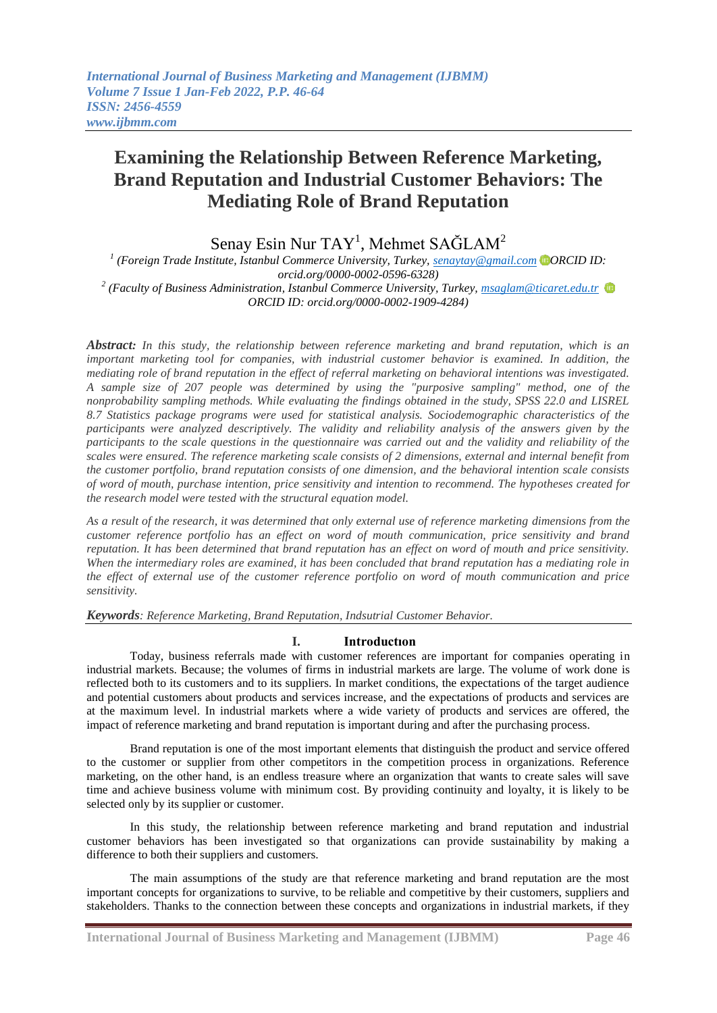# **Examining the Relationship Between Reference Marketing, Brand Reputation and Industrial Customer Behaviors: The Mediating Role of Brand Reputation**

# Senay Esin Nur TAY<sup>1</sup>, Mehmet SAĞLAM<sup>2</sup>

*1 (Foreign Trade Institute, Istanbul Commerce University, Turkey, [senaytay@gmail.com](mailto:senaytay@gmail.com) ORCID ID: orcid.org/0000-0002-0596-6328) 2 (Faculty of Business Administration, Istanbul Commerce University, Turkey, [msaglam@ticaret.edu.tr](mailto:msaglam@ticaret.edu.tr)  ORCID ID: orcid.org/0000-0002-1909-4284)*

*Abstract: In this study, the relationship between reference marketing and brand reputation, which is an important marketing tool for companies, with industrial customer behavior is examined. In addition, the mediating role of brand reputation in the effect of referral marketing on behavioral intentions was investigated. A sample size of 207 people was determined by using the "purposive sampling" method, one of the nonprobability sampling methods. While evaluating the findings obtained in the study, SPSS 22.0 and LISREL 8.7 Statistics package programs were used for statistical analysis. Sociodemographic characteristics of the participants were analyzed descriptively. The validity and reliability analysis of the answers given by the participants to the scale questions in the questionnaire was carried out and the validity and reliability of the scales were ensured. The reference marketing scale consists of 2 dimensions, external and internal benefit from the customer portfolio, brand reputation consists of one dimension, and the behavioral intention scale consists of word of mouth, purchase intention, price sensitivity and intention to recommend. The hypotheses created for the research model were tested with the structural equation model.*

*As a result of the research, it was determined that only external use of reference marketing dimensions from the customer reference portfolio has an effect on word of mouth communication, price sensitivity and brand reputation. It has been determined that brand reputation has an effect on word of mouth and price sensitivity. When the intermediary roles are examined, it has been concluded that brand reputation has a mediating role in the effect of external use of the customer reference portfolio on word of mouth communication and price sensitivity.*

*Keywords: Reference Marketing, Brand Reputation, Indsutrial Customer Behavior.*

# **I. Introductıon**

Today, business referrals made with customer references are important for companies operating in industrial markets. Because; the volumes of firms in industrial markets are large. The volume of work done is reflected both to its customers and to its suppliers. In market conditions, the expectations of the target audience and potential customers about products and services increase, and the expectations of products and services are at the maximum level. In industrial markets where a wide variety of products and services are offered, the impact of reference marketing and brand reputation is important during and after the purchasing process.

Brand reputation is one of the most important elements that distinguish the product and service offered to the customer or supplier from other competitors in the competition process in organizations. Reference marketing, on the other hand, is an endless treasure where an organization that wants to create sales will save time and achieve business volume with minimum cost. By providing continuity and loyalty, it is likely to be selected only by its supplier or customer.

In this study, the relationship between reference marketing and brand reputation and industrial customer behaviors has been investigated so that organizations can provide sustainability by making a difference to both their suppliers and customers.

The main assumptions of the study are that reference marketing and brand reputation are the most important concepts for organizations to survive, to be reliable and competitive by their customers, suppliers and stakeholders. Thanks to the connection between these concepts and organizations in industrial markets, if they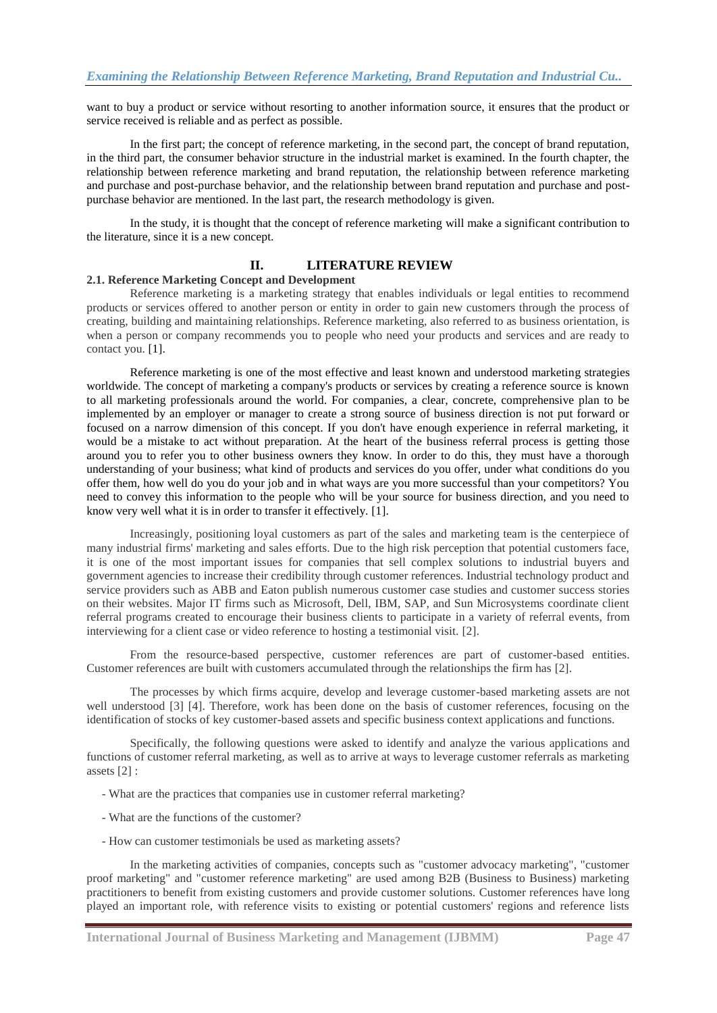want to buy a product or service without resorting to another information source, it ensures that the product or service received is reliable and as perfect as possible.

In the first part; the concept of reference marketing, in the second part, the concept of brand reputation, in the third part, the consumer behavior structure in the industrial market is examined. In the fourth chapter, the relationship between reference marketing and brand reputation, the relationship between reference marketing and purchase and post-purchase behavior, and the relationship between brand reputation and purchase and postpurchase behavior are mentioned. In the last part, the research methodology is given.

In the study, it is thought that the concept of reference marketing will make a significant contribution to the literature, since it is a new concept.

# **II. LITERATURE REVIEW**

#### **2.1. Reference Marketing Concept and Development**

Reference marketing is a marketing strategy that enables individuals or legal entities to recommend products or services offered to another person or entity in order to gain new customers through the process of creating, building and maintaining relationships. Reference marketing, also referred to as business orientation, is when a person or company recommends you to people who need your products and services and are ready to contact you. [1].

Reference marketing is one of the most effective and least known and understood marketing strategies worldwide. The concept of marketing a company's products or services by creating a reference source is known to all marketing professionals around the world. For companies, a clear, concrete, comprehensive plan to be implemented by an employer or manager to create a strong source of business direction is not put forward or focused on a narrow dimension of this concept. If you don't have enough experience in referral marketing, it would be a mistake to act without preparation. At the heart of the business referral process is getting those around you to refer you to other business owners they know. In order to do this, they must have a thorough understanding of your business; what kind of products and services do you offer, under what conditions do you offer them, how well do you do your job and in what ways are you more successful than your competitors? You need to convey this information to the people who will be your source for business direction, and you need to know very well what it is in order to transfer it effectively. [1].

Increasingly, positioning loyal customers as part of the sales and marketing team is the centerpiece of many industrial firms' marketing and sales efforts. Due to the high risk perception that potential customers face, it is one of the most important issues for companies that sell complex solutions to industrial buyers and government agencies to increase their credibility through customer references. Industrial technology product and service providers such as ABB and Eaton publish numerous customer case studies and customer success stories on their websites. Major IT firms such as Microsoft, Dell, IBM, SAP, and Sun Microsystems coordinate client referral programs created to encourage their business clients to participate in a variety of referral events, from interviewing for a client case or video reference to hosting a testimonial visit. [2].

From the resource-based perspective, customer references are part of customer-based entities. Customer references are built with customers accumulated through the relationships the firm has [2].

The processes by which firms acquire, develop and leverage customer-based marketing assets are not well understood [3] [4]. Therefore, work has been done on the basis of customer references, focusing on the identification of stocks of key customer-based assets and specific business context applications and functions.

Specifically, the following questions were asked to identify and analyze the various applications and functions of customer referral marketing, as well as to arrive at ways to leverage customer referrals as marketing assets [2] :

- What are the practices that companies use in customer referral marketing?
- What are the functions of the customer?
- How can customer testimonials be used as marketing assets?

In the marketing activities of companies, concepts such as "customer advocacy marketing", "customer proof marketing" and "customer reference marketing" are used among B2B (Business to Business) marketing practitioners to benefit from existing customers and provide customer solutions. Customer references have long played an important role, with reference visits to existing or potential customers' regions and reference lists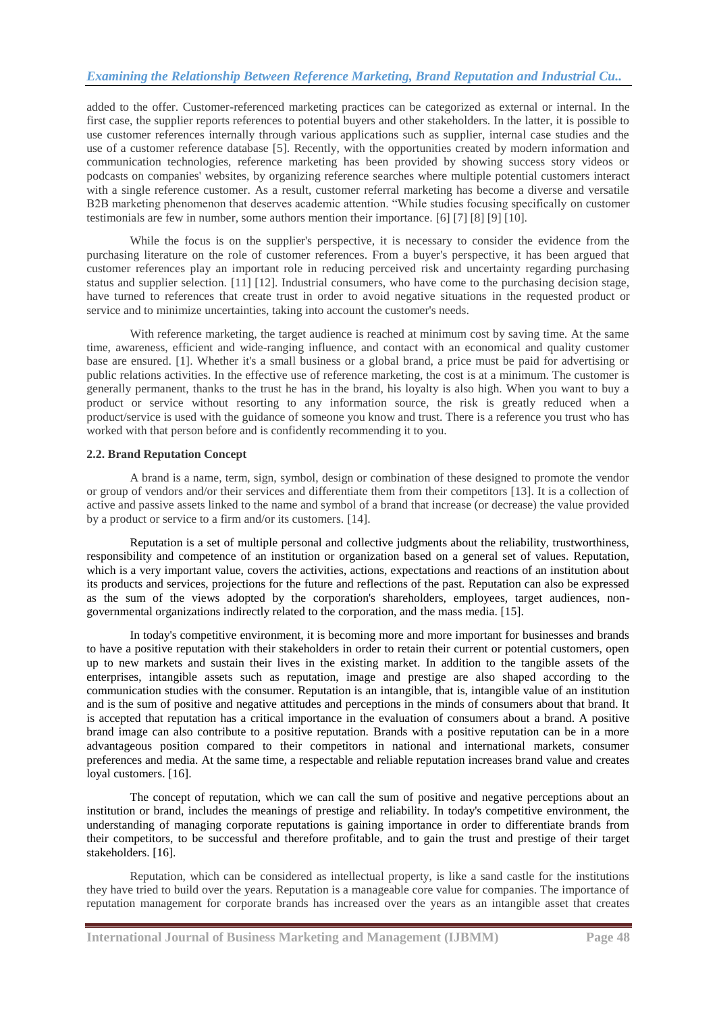added to the offer. Customer-referenced marketing practices can be categorized as external or internal. In the first case, the supplier reports references to potential buyers and other stakeholders. In the latter, it is possible to use customer references internally through various applications such as supplier, internal case studies and the use of a customer reference database [5]. Recently, with the opportunities created by modern information and communication technologies, reference marketing has been provided by showing success story videos or podcasts on companies' websites, by organizing reference searches where multiple potential customers interact with a single reference customer. As a result, customer referral marketing has become a diverse and versatile B2B marketing phenomenon that deserves academic attention. "While studies focusing specifically on customer testimonials are few in number, some authors mention their importance. [6] [7] [8] [9] [10].

While the focus is on the supplier's perspective, it is necessary to consider the evidence from the purchasing literature on the role of customer references. From a buyer's perspective, it has been argued that customer references play an important role in reducing perceived risk and uncertainty regarding purchasing status and supplier selection. [11] [12]. Industrial consumers, who have come to the purchasing decision stage, have turned to references that create trust in order to avoid negative situations in the requested product or service and to minimize uncertainties, taking into account the customer's needs.

With reference marketing, the target audience is reached at minimum cost by saving time. At the same time, awareness, efficient and wide-ranging influence, and contact with an economical and quality customer base are ensured. [1]. Whether it's a small business or a global brand, a price must be paid for advertising or public relations activities. In the effective use of reference marketing, the cost is at a minimum. The customer is generally permanent, thanks to the trust he has in the brand, his loyalty is also high. When you want to buy a product or service without resorting to any information source, the risk is greatly reduced when a product/service is used with the guidance of someone you know and trust. There is a reference you trust who has worked with that person before and is confidently recommending it to you.

# **2.2. Brand Reputation Concept**

A brand is a name, term, sign, symbol, design or combination of these designed to promote the vendor or group of vendors and/or their services and differentiate them from their competitors [13]. It is a collection of active and passive assets linked to the name and symbol of a brand that increase (or decrease) the value provided by a product or service to a firm and/or its customers. [14].

Reputation is a set of multiple personal and collective judgments about the reliability, trustworthiness, responsibility and competence of an institution or organization based on a general set of values. Reputation, which is a very important value, covers the activities, actions, expectations and reactions of an institution about its products and services, projections for the future and reflections of the past. Reputation can also be expressed as the sum of the views adopted by the corporation's shareholders, employees, target audiences, nongovernmental organizations indirectly related to the corporation, and the mass media. [15].

In today's competitive environment, it is becoming more and more important for businesses and brands to have a positive reputation with their stakeholders in order to retain their current or potential customers, open up to new markets and sustain their lives in the existing market. In addition to the tangible assets of the enterprises, intangible assets such as reputation, image and prestige are also shaped according to the communication studies with the consumer. Reputation is an intangible, that is, intangible value of an institution and is the sum of positive and negative attitudes and perceptions in the minds of consumers about that brand. It is accepted that reputation has a critical importance in the evaluation of consumers about a brand. A positive brand image can also contribute to a positive reputation. Brands with a positive reputation can be in a more advantageous position compared to their competitors in national and international markets, consumer preferences and media. At the same time, a respectable and reliable reputation increases brand value and creates loyal customers. [16].

The concept of reputation, which we can call the sum of positive and negative perceptions about an institution or brand, includes the meanings of prestige and reliability. In today's competitive environment, the understanding of managing corporate reputations is gaining importance in order to differentiate brands from their competitors, to be successful and therefore profitable, and to gain the trust and prestige of their target stakeholders. [16].

Reputation, which can be considered as intellectual property, is like a sand castle for the institutions they have tried to build over the years. Reputation is a manageable core value for companies. The importance of reputation management for corporate brands has increased over the years as an intangible asset that creates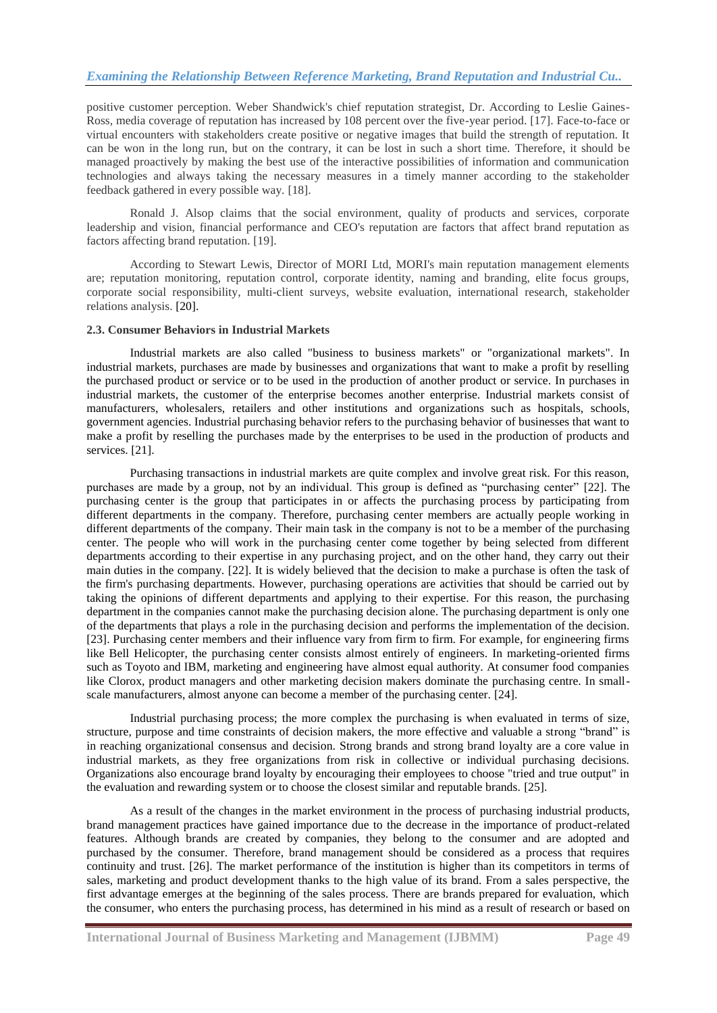positive customer perception. Weber Shandwick's chief reputation strategist, Dr. According to Leslie Gaines-Ross, media coverage of reputation has increased by 108 percent over the five-year period. [17]. Face-to-face or virtual encounters with stakeholders create positive or negative images that build the strength of reputation. It can be won in the long run, but on the contrary, it can be lost in such a short time. Therefore, it should be managed proactively by making the best use of the interactive possibilities of information and communication technologies and always taking the necessary measures in a timely manner according to the stakeholder feedback gathered in every possible way. [18].

Ronald J. Alsop claims that the social environment, quality of products and services, corporate leadership and vision, financial performance and CEO's reputation are factors that affect brand reputation as factors affecting brand reputation. [19].

According to Stewart Lewis, Director of MORI Ltd, MORI's main reputation management elements are; reputation monitoring, reputation control, corporate identity, naming and branding, elite focus groups, corporate social responsibility, multi-client surveys, website evaluation, international research, stakeholder relations analysis. [20].

#### **2.3. Consumer Behaviors in Industrial Markets**

Industrial markets are also called "business to business markets" or "organizational markets". In industrial markets, purchases are made by businesses and organizations that want to make a profit by reselling the purchased product or service or to be used in the production of another product or service. In purchases in industrial markets, the customer of the enterprise becomes another enterprise. Industrial markets consist of manufacturers, wholesalers, retailers and other institutions and organizations such as hospitals, schools, government agencies. Industrial purchasing behavior refers to the purchasing behavior of businesses that want to make a profit by reselling the purchases made by the enterprises to be used in the production of products and services. [21].

Purchasing transactions in industrial markets are quite complex and involve great risk. For this reason, purchases are made by a group, not by an individual. This group is defined as "purchasing center" [22]. The purchasing center is the group that participates in or affects the purchasing process by participating from different departments in the company. Therefore, purchasing center members are actually people working in different departments of the company. Their main task in the company is not to be a member of the purchasing center. The people who will work in the purchasing center come together by being selected from different departments according to their expertise in any purchasing project, and on the other hand, they carry out their main duties in the company. [22]. It is widely believed that the decision to make a purchase is often the task of the firm's purchasing departments. However, purchasing operations are activities that should be carried out by taking the opinions of different departments and applying to their expertise. For this reason, the purchasing department in the companies cannot make the purchasing decision alone. The purchasing department is only one of the departments that plays a role in the purchasing decision and performs the implementation of the decision. [23]. Purchasing center members and their influence vary from firm to firm. For example, for engineering firms like Bell Helicopter, the purchasing center consists almost entirely of engineers. In marketing-oriented firms such as Toyoto and IBM, marketing and engineering have almost equal authority. At consumer food companies like Clorox, product managers and other marketing decision makers dominate the purchasing centre. In smallscale manufacturers, almost anyone can become a member of the purchasing center. [24].

Industrial purchasing process; the more complex the purchasing is when evaluated in terms of size, structure, purpose and time constraints of decision makers, the more effective and valuable a strong "brand" is in reaching organizational consensus and decision. Strong brands and strong brand loyalty are a core value in industrial markets, as they free organizations from risk in collective or individual purchasing decisions. Organizations also encourage brand loyalty by encouraging their employees to choose "tried and true output" in the evaluation and rewarding system or to choose the closest similar and reputable brands. [25].

As a result of the changes in the market environment in the process of purchasing industrial products, brand management practices have gained importance due to the decrease in the importance of product-related features. Although brands are created by companies, they belong to the consumer and are adopted and purchased by the consumer. Therefore, brand management should be considered as a process that requires continuity and trust. [26]. The market performance of the institution is higher than its competitors in terms of sales, marketing and product development thanks to the high value of its brand. From a sales perspective, the first advantage emerges at the beginning of the sales process. There are brands prepared for evaluation, which the consumer, who enters the purchasing process, has determined in his mind as a result of research or based on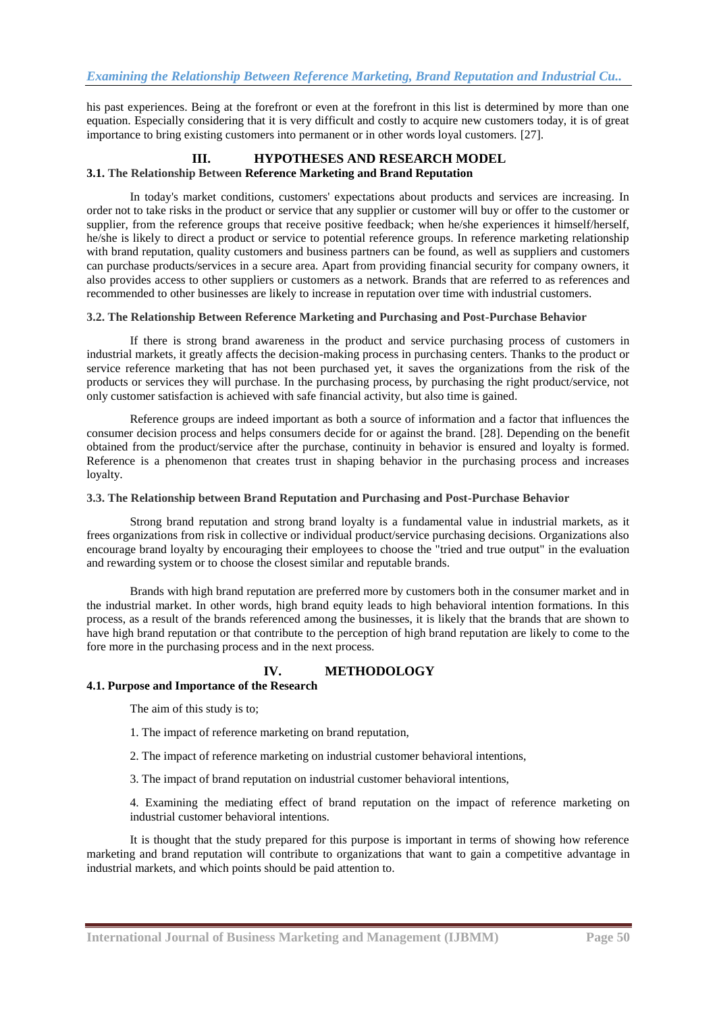his past experiences. Being at the forefront or even at the forefront in this list is determined by more than one equation. Especially considering that it is very difficult and costly to acquire new customers today, it is of great importance to bring existing customers into permanent or in other words loyal customers. [27].

# **III. HYPOTHESES AND RESEARCH MODEL 3.1. The Relationship Between Reference Marketing and Brand Reputation**

In today's market conditions, customers' expectations about products and services are increasing. In order not to take risks in the product or service that any supplier or customer will buy or offer to the customer or supplier, from the reference groups that receive positive feedback; when he/she experiences it himself/herself, he/she is likely to direct a product or service to potential reference groups. In reference marketing relationship with brand reputation, quality customers and business partners can be found, as well as suppliers and customers can purchase products/services in a secure area. Apart from providing financial security for company owners, it also provides access to other suppliers or customers as a network. Brands that are referred to as references and recommended to other businesses are likely to increase in reputation over time with industrial customers.

# **3.2. The Relationship Between Reference Marketing and Purchasing and Post-Purchase Behavior**

If there is strong brand awareness in the product and service purchasing process of customers in industrial markets, it greatly affects the decision-making process in purchasing centers. Thanks to the product or service reference marketing that has not been purchased yet, it saves the organizations from the risk of the products or services they will purchase. In the purchasing process, by purchasing the right product/service, not only customer satisfaction is achieved with safe financial activity, but also time is gained.

Reference groups are indeed important as both a source of information and a factor that influences the consumer decision process and helps consumers decide for or against the brand. [28]. Depending on the benefit obtained from the product/service after the purchase, continuity in behavior is ensured and loyalty is formed. Reference is a phenomenon that creates trust in shaping behavior in the purchasing process and increases loyalty.

# **3.3. The Relationship between Brand Reputation and Purchasing and Post-Purchase Behavior**

Strong brand reputation and strong brand loyalty is a fundamental value in industrial markets, as it frees organizations from risk in collective or individual product/service purchasing decisions. Organizations also encourage brand loyalty by encouraging their employees to choose the "tried and true output" in the evaluation and rewarding system or to choose the closest similar and reputable brands.

Brands with high brand reputation are preferred more by customers both in the consumer market and in the industrial market. In other words, high brand equity leads to high behavioral intention formations. In this process, as a result of the brands referenced among the businesses, it is likely that the brands that are shown to have high brand reputation or that contribute to the perception of high brand reputation are likely to come to the fore more in the purchasing process and in the next process.

# **IV. METHODOLOGY**

# **4.1. Purpose and Importance of the Research**

The aim of this study is to;

- 1. The impact of reference marketing on brand reputation,
- 2. The impact of reference marketing on industrial customer behavioral intentions,
- 3. The impact of brand reputation on industrial customer behavioral intentions,

4. Examining the mediating effect of brand reputation on the impact of reference marketing on industrial customer behavioral intentions.

It is thought that the study prepared for this purpose is important in terms of showing how reference marketing and brand reputation will contribute to organizations that want to gain a competitive advantage in industrial markets, and which points should be paid attention to.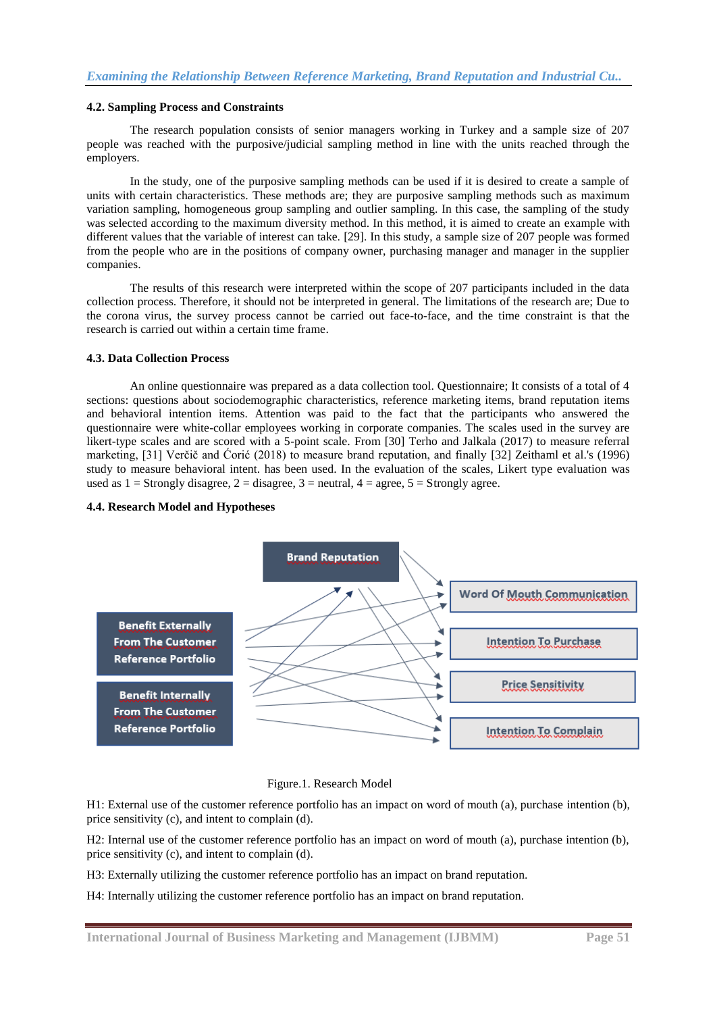#### **4.2. Sampling Process and Constraints**

The research population consists of senior managers working in Turkey and a sample size of 207 people was reached with the purposive/judicial sampling method in line with the units reached through the employers.

In the study, one of the purposive sampling methods can be used if it is desired to create a sample of units with certain characteristics. These methods are; they are purposive sampling methods such as maximum variation sampling, homogeneous group sampling and outlier sampling. In this case, the sampling of the study was selected according to the maximum diversity method. In this method, it is aimed to create an example with different values that the variable of interest can take. [29]. In this study, a sample size of 207 people was formed from the people who are in the positions of company owner, purchasing manager and manager in the supplier companies.

The results of this research were interpreted within the scope of 207 participants included in the data collection process. Therefore, it should not be interpreted in general. The limitations of the research are; Due to the corona virus, the survey process cannot be carried out face-to-face, and the time constraint is that the research is carried out within a certain time frame.

#### **4.3. Data Collection Process**

An online questionnaire was prepared as a data collection tool. Questionnaire; It consists of a total of 4 sections: questions about sociodemographic characteristics, reference marketing items, brand reputation items and behavioral intention items. Attention was paid to the fact that the participants who answered the questionnaire were white-collar employees working in corporate companies. The scales used in the survey are likert-type scales and are scored with a 5-point scale. From [30] Terho and Jalkala (2017) to measure referral marketing,  $[31]$  Verčič and Ćorić (2018) to measure brand reputation, and finally  $[32]$  Zeithaml et al.'s (1996) study to measure behavioral intent. has been used. In the evaluation of the scales, Likert type evaluation was used as  $1 =$  Strongly disagree,  $2 =$  disagree,  $3 =$  neutral,  $4 =$  agree,  $5 =$  Strongly agree.

#### **4.4. Research Model and Hypotheses**





H1: External use of the customer reference portfolio has an impact on word of mouth (a), purchase intention (b), price sensitivity (c), and intent to complain (d).

H2: Internal use of the customer reference portfolio has an impact on word of mouth (a), purchase intention (b), price sensitivity (c), and intent to complain (d).

H3: Externally utilizing the customer reference portfolio has an impact on brand reputation.

H4: Internally utilizing the customer reference portfolio has an impact on brand reputation.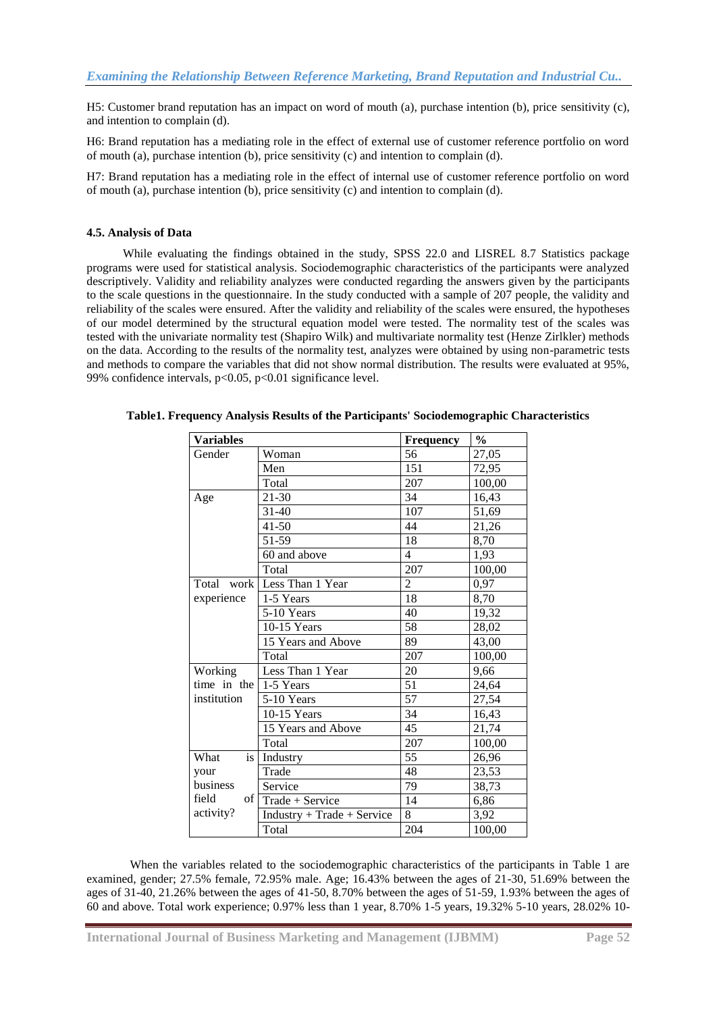H5: Customer brand reputation has an impact on word of mouth (a), purchase intention (b), price sensitivity (c), and intention to complain (d).

H6: Brand reputation has a mediating role in the effect of external use of customer reference portfolio on word of mouth (a), purchase intention (b), price sensitivity (c) and intention to complain (d).

H7: Brand reputation has a mediating role in the effect of internal use of customer reference portfolio on word of mouth (a), purchase intention (b), price sensitivity (c) and intention to complain (d).

# **4.5. Analysis of Data**

 While evaluating the findings obtained in the study, SPSS 22.0 and LISREL 8.7 Statistics package programs were used for statistical analysis. Sociodemographic characteristics of the participants were analyzed descriptively. Validity and reliability analyzes were conducted regarding the answers given by the participants to the scale questions in the questionnaire. In the study conducted with a sample of 207 people, the validity and reliability of the scales were ensured. After the validity and reliability of the scales were ensured, the hypotheses of our model determined by the structural equation model were tested. The normality test of the scales was tested with the univariate normality test (Shapiro Wilk) and multivariate normality test (Henze Zirlkler) methods on the data. According to the results of the normality test, analyzes were obtained by using non-parametric tests and methods to compare the variables that did not show normal distribution. The results were evaluated at 95%, 99% confidence intervals,  $p<0.05$ ,  $p<0.01$  significance level.

| <b>Variables</b>              |                             | Frequency       | $\frac{0}{0}$ |
|-------------------------------|-----------------------------|-----------------|---------------|
| Gender                        | Woman                       | 56              | 27,05         |
|                               | Men                         | 151             | 72,95         |
|                               | Total                       | 207             | 100,00        |
| Age                           | 21-30                       | 34              | 16,43         |
|                               | $31 - 40$                   | 107             | 51,69         |
|                               | $41 - 50$                   | 44              | 21,26         |
|                               | 51-59                       | $\overline{18}$ | 8,70          |
|                               | 60 and above                | $\overline{4}$  | 1,93          |
|                               | Total                       | 207             | 100,00        |
|                               | Total work Less Than 1 Year | $\overline{2}$  | 0,97          |
| experience                    | 1-5 Years                   | $\overline{18}$ | 8,70          |
|                               | 5-10 Years                  | 40              | 19,32         |
|                               | $10-15$ Years               | 58              | 28,02         |
|                               | 15 Years and Above          | 89              | 43,00         |
|                               | Total                       | 207             | 100,00        |
| Working                       | Less Than 1 Year            | 20              | 9,66          |
| time in the $\vert$ 1-5 Years |                             | 51              | 24,64         |
| institution                   | 5-10 Years                  | 57              | 27,54         |
|                               | 10-15 Years                 | $\overline{34}$ | 16,43         |
|                               | 15 Years and Above          | 45              | 21,74         |
|                               | Total                       | 207             | 100,00        |
| What<br>is                    | Industry                    | $\overline{55}$ | 26,96         |
| your                          | Trade                       | 48              | 23,53         |
| business                      | Service                     | 79              | 38,73         |
| field<br>$\circ$ f            | Trade + Service             | 14              | 6,86          |
| activity?                     | Industry + Trade + Service  | 8               | 3,92          |
|                               | Total                       | 204             | 100,00        |

**Table1. Frequency Analysis Results of the Participants' Sociodemographic Characteristics**

When the variables related to the sociodemographic characteristics of the participants in Table 1 are examined, gender; 27.5% female, 72.95% male. Age; 16.43% between the ages of 21-30, 51.69% between the ages of 31-40, 21.26% between the ages of 41-50, 8.70% between the ages of 51-59, 1.93% between the ages of 60 and above. Total work experience; 0.97% less than 1 year, 8.70% 1-5 years, 19.32% 5-10 years, 28.02% 10-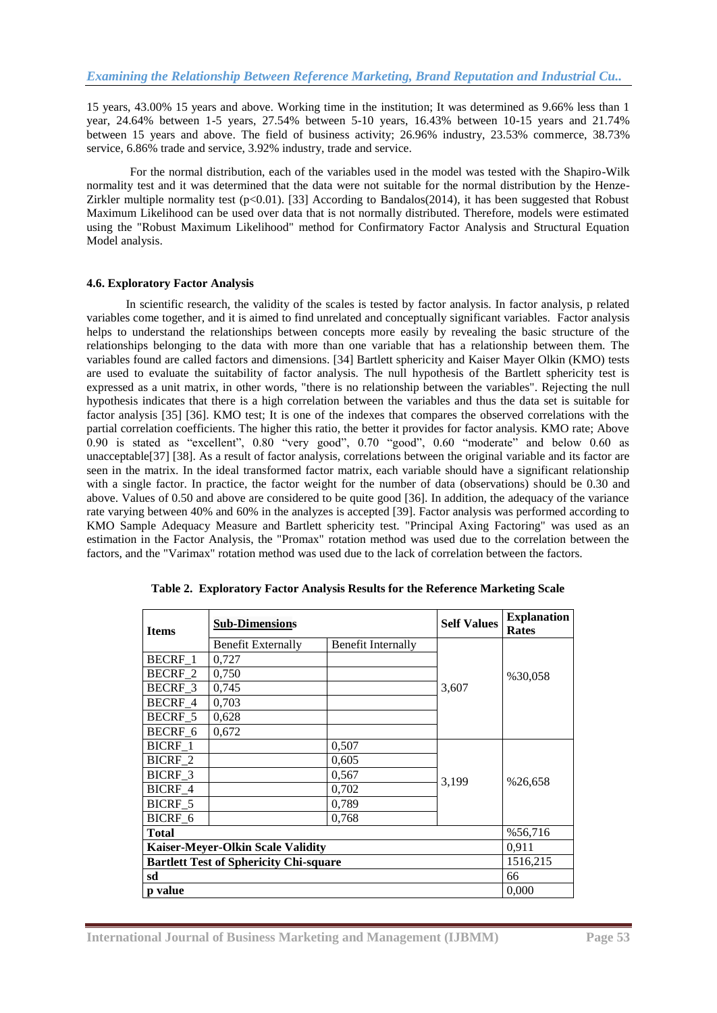15 years, 43.00% 15 years and above. Working time in the institution; It was determined as 9.66% less than 1 year, 24.64% between 1-5 years, 27.54% between 5-10 years, 16.43% between 10-15 years and 21.74% between 15 years and above. The field of business activity; 26.96% industry, 23.53% commerce, 38.73% service, 6.86% trade and service, 3.92% industry, trade and service.

For the normal distribution, each of the variables used in the model was tested with the Shapiro-Wilk normality test and it was determined that the data were not suitable for the normal distribution by the Henze-Zirkler multiple normality test  $(p<0.01)$ . [33] According to Bandalos(2014), it has been suggested that Robust Maximum Likelihood can be used over data that is not normally distributed. Therefore, models were estimated using the "Robust Maximum Likelihood" method for Confirmatory Factor Analysis and Structural Equation Model analysis.

# **4.6. Exploratory Factor Analysis**

In scientific research, the validity of the scales is tested by factor analysis. In factor analysis, p related variables come together, and it is aimed to find unrelated and conceptually significant variables. Factor analysis helps to understand the relationships between concepts more easily by revealing the basic structure of the relationships belonging to the data with more than one variable that has a relationship between them. The variables found are called factors and dimensions. [34] Bartlett sphericity and Kaiser Mayer Olkin (KMO) tests are used to evaluate the suitability of factor analysis. The null hypothesis of the Bartlett sphericity test is expressed as a unit matrix, in other words, "there is no relationship between the variables". Rejecting the null hypothesis indicates that there is a high correlation between the variables and thus the data set is suitable for factor analysis [35] [36]. KMO test; It is one of the indexes that compares the observed correlations with the partial correlation coefficients. The higher this ratio, the better it provides for factor analysis. KMO rate; Above 0.90 is stated as "excellent", 0.80 "very good", 0.70 "good", 0.60 "moderate" and below 0.60 as unacceptable[37] [38]. As a result of factor analysis, correlations between the original variable and its factor are seen in the matrix. In the ideal transformed factor matrix, each variable should have a significant relationship with a single factor. In practice, the factor weight for the number of data (observations) should be 0.30 and above. Values of 0.50 and above are considered to be quite good [36]. In addition, the adequacy of the variance rate varying between 40% and 60% in the analyzes is accepted [39]. Factor analysis was performed according to KMO Sample Adequacy Measure and Bartlett sphericity test. "Principal Axing Factoring" was used as an estimation in the Factor Analysis, the "Promax" rotation method was used due to the correlation between the factors, and the "Varimax" rotation method was used due to the lack of correlation between the factors.

| <b>Items</b>   | <b>Sub-Dimensions</b>                         | <b>Self Values</b>        | <b>Explanation</b><br><b>Rates</b> |          |
|----------------|-----------------------------------------------|---------------------------|------------------------------------|----------|
|                |                                               |                           |                                    |          |
|                | Benefit Externally                            | <b>Benefit Internally</b> |                                    |          |
| BECRF_1        | 0,727                                         |                           |                                    |          |
| BECRF 2        | 0,750                                         |                           |                                    | %30,058  |
| BECRF 3        | 0,745                                         |                           | 3,607                              |          |
| BECRF_4        | 0,703                                         |                           |                                    |          |
| BECRF 5        | 0,628                                         |                           |                                    |          |
| BECRF 6        | 0,672                                         |                           |                                    |          |
| BICRF 1        |                                               | 0,507                     |                                    |          |
| BICRF_2        |                                               | 0,605                     |                                    |          |
| <b>BICRF 3</b> |                                               | 0,567                     |                                    |          |
| BICRF_4        |                                               | 0,702                     | 3,199                              | %26,658  |
| BICRF_5        |                                               | 0,789                     |                                    |          |
| BICRF 6        |                                               | 0,768                     |                                    |          |
| Total          |                                               |                           |                                    | %56,716  |
|                | <b>Kaiser-Meyer-Olkin Scale Validity</b>      |                           |                                    | 0,911    |
|                | <b>Bartlett Test of Sphericity Chi-square</b> |                           |                                    | 1516,215 |
| sd             |                                               |                           |                                    | 66       |
| p value        |                                               |                           |                                    | 0,000    |

**Table 2. Exploratory Factor Analysis Results for the Reference Marketing Scale**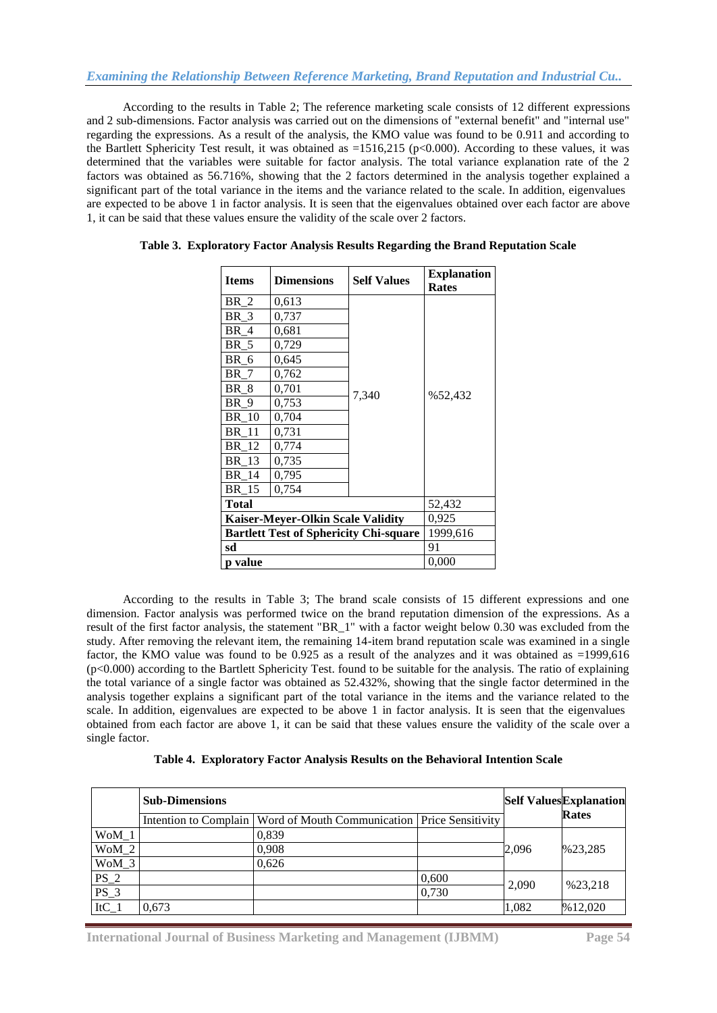According to the results in Table 2; The reference marketing scale consists of 12 different expressions and 2 sub-dimensions. Factor analysis was carried out on the dimensions of "external benefit" and "internal use" regarding the expressions. As a result of the analysis, the KMO value was found to be 0.911 and according to the Bartlett Sphericity Test result, it was obtained as  $=1516,215$  (p $< 0.000$ ). According to these values, it was determined that the variables were suitable for factor analysis. The total variance explanation rate of the 2 factors was obtained as 56.716%, showing that the 2 factors determined in the analysis together explained a significant part of the total variance in the items and the variance related to the scale. In addition, eigenvalues are expected to be above 1 in factor analysis. It is seen that the eigenvalues obtained over each factor are above 1, it can be said that these values ensure the validity of the scale over 2 factors.

| <b>Items</b>                                  | <b>Dimensions</b> | <b>Self Values</b> | <b>Explanation</b><br><b>Rates</b> |  |  |
|-----------------------------------------------|-------------------|--------------------|------------------------------------|--|--|
| BR 2                                          | 0.613             |                    |                                    |  |  |
| BR <sub>3</sub>                               | 0,737             |                    |                                    |  |  |
| <b>BR</b> 4                                   | 0,681             |                    |                                    |  |  |
| <b>BR</b> 5                                   | 0,729             |                    |                                    |  |  |
| <b>BR</b><br>6                                | 0,645             |                    |                                    |  |  |
| BR 7                                          | 0,762             |                    |                                    |  |  |
| <b>BR</b><br>8                                | 0,701             |                    | %52,432                            |  |  |
| BR<br>9                                       | 0,753             | 7,340              |                                    |  |  |
| <b>BR</b><br>10                               | 0,704             |                    |                                    |  |  |
| BR<br>11                                      | 0,731             |                    |                                    |  |  |
| <b>BR</b> 12                                  | 0,774             |                    |                                    |  |  |
| BR 13                                         | 0,735             |                    |                                    |  |  |
| BR 14                                         | 0,795             |                    |                                    |  |  |
| BR 15                                         | 0,754             |                    |                                    |  |  |
| <b>Total</b>                                  |                   |                    | 52,432                             |  |  |
| <b>Kaiser-Meyer-Olkin Scale Validity</b>      | 0,925             |                    |                                    |  |  |
| <b>Bartlett Test of Sphericity Chi-square</b> | 1999,616          |                    |                                    |  |  |
| sd                                            | 91                |                    |                                    |  |  |
| p value                                       |                   |                    | 0,000                              |  |  |

| Table 3. Exploratory Factor Analysis Results Regarding the Brand Reputation Scale |  |  |  |
|-----------------------------------------------------------------------------------|--|--|--|
|                                                                                   |  |  |  |

 According to the results in Table 3; The brand scale consists of 15 different expressions and one dimension. Factor analysis was performed twice on the brand reputation dimension of the expressions. As a result of the first factor analysis, the statement "BR\_1" with a factor weight below 0.30 was excluded from the study. After removing the relevant item, the remaining 14-item brand reputation scale was examined in a single factor, the KMO value was found to be 0.925 as a result of the analyzes and it was obtained as =1999,616 (p<0.000) according to the Bartlett Sphericity Test. found to be suitable for the analysis. The ratio of explaining the total variance of a single factor was obtained as 52.432%, showing that the single factor determined in the analysis together explains a significant part of the total variance in the items and the variance related to the scale. In addition, eigenvalues are expected to be above 1 in factor analysis. It is seen that the eigenvalues obtained from each factor are above 1, it can be said that these values ensure the validity of the scale over a single factor.

|  |  |  |  |  |  |  | Table 4. Exploratory Factor Analysis Results on the Behavioral Intention Scale |
|--|--|--|--|--|--|--|--------------------------------------------------------------------------------|
|--|--|--|--|--|--|--|--------------------------------------------------------------------------------|

|         | <b>Sub-Dimensions</b> |                                                                         |       |       | <b>Self Values Explanation</b> |
|---------|-----------------------|-------------------------------------------------------------------------|-------|-------|--------------------------------|
|         |                       | Intention to Complain   Word of Mouth Communication   Price Sensitivity |       |       | <b>Rates</b>                   |
| WoM 1   |                       | 0,839                                                                   |       |       |                                |
| $WoM_2$ |                       | 0,908                                                                   |       | 2,096 | %23,285                        |
| $WoM_3$ |                       | 0,626                                                                   |       |       |                                |
| $PS_2$  |                       |                                                                         | 0,600 | 2.090 |                                |
| $PS_3$  |                       |                                                                         | 0,730 |       | %23,218                        |
| $ItC_1$ | 0.673                 |                                                                         |       | 1.082 | %12,020                        |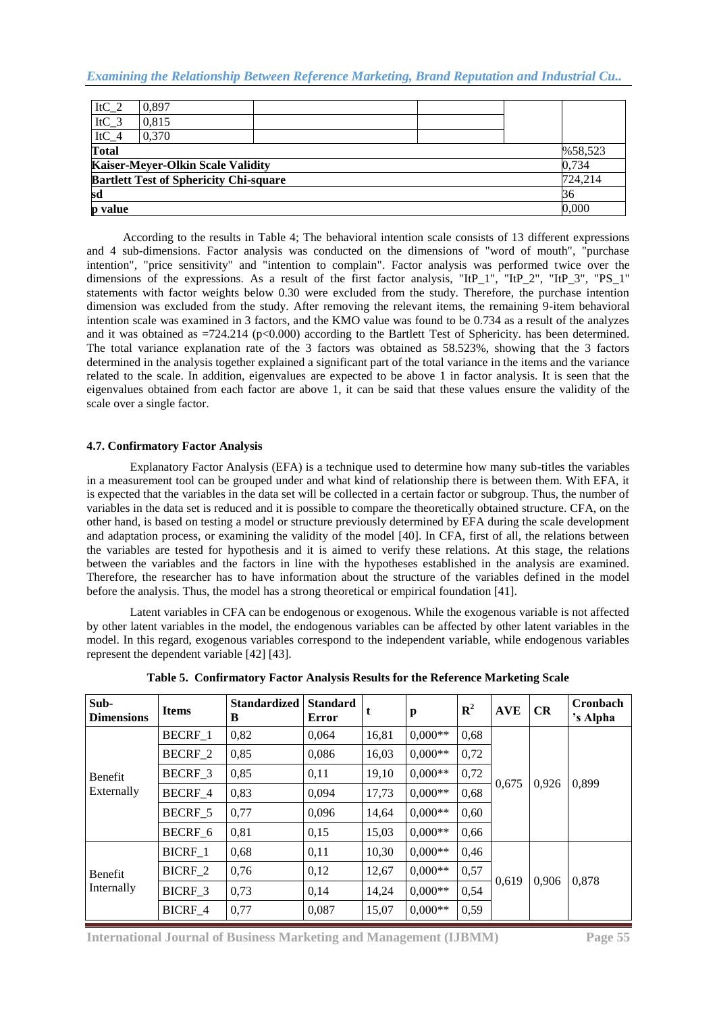| $ItC_2$      | 0.897                                         |  |  |  |         |  |  |  |
|--------------|-----------------------------------------------|--|--|--|---------|--|--|--|
| $ItC_3$      | 0.815                                         |  |  |  |         |  |  |  |
| $ItC_4$      | 0.370                                         |  |  |  |         |  |  |  |
| <b>Total</b> | %58,523                                       |  |  |  |         |  |  |  |
|              | <b>Kaiser-Meyer-Olkin Scale Validity</b>      |  |  |  | 0.734   |  |  |  |
|              | <b>Bartlett Test of Sphericity Chi-square</b> |  |  |  | 724.214 |  |  |  |
| 36<br>sd     |                                               |  |  |  |         |  |  |  |
| p value      |                                               |  |  |  | 0.000   |  |  |  |

 According to the results in Table 4; The behavioral intention scale consists of 13 different expressions and 4 sub-dimensions. Factor analysis was conducted on the dimensions of "word of mouth", "purchase intention", "price sensitivity" and "intention to complain". Factor analysis was performed twice over the dimensions of the expressions. As a result of the first factor analysis, "ItP\_1", "ItP\_2", "ItP\_3", "PS\_1" statements with factor weights below 0.30 were excluded from the study. Therefore, the purchase intention dimension was excluded from the study. After removing the relevant items, the remaining 9-item behavioral intention scale was examined in 3 factors, and the KMO value was found to be 0.734 as a result of the analyzes and it was obtained as  $=724.214$  (p $< 0.000$ ) according to the Bartlett Test of Sphericity. has been determined. The total variance explanation rate of the 3 factors was obtained as 58.523%, showing that the 3 factors determined in the analysis together explained a significant part of the total variance in the items and the variance related to the scale. In addition, eigenvalues are expected to be above 1 in factor analysis. It is seen that the eigenvalues obtained from each factor are above 1, it can be said that these values ensure the validity of the scale over a single factor.

# **4.7. Confirmatory Factor Analysis**

Explanatory Factor Analysis (EFA) is a technique used to determine how many sub-titles the variables in a measurement tool can be grouped under and what kind of relationship there is between them. With EFA, it is expected that the variables in the data set will be collected in a certain factor or subgroup. Thus, the number of variables in the data set is reduced and it is possible to compare the theoretically obtained structure. CFA, on the other hand, is based on testing a model or structure previously determined by EFA during the scale development and adaptation process, or examining the validity of the model [40]. In CFA, first of all, the relations between the variables are tested for hypothesis and it is aimed to verify these relations. At this stage, the relations between the variables and the factors in line with the hypotheses established in the analysis are examined. Therefore, the researcher has to have information about the structure of the variables defined in the model before the analysis. Thus, the model has a strong theoretical or empirical foundation [41].

Latent variables in CFA can be endogenous or exogenous. While the exogenous variable is not affected by other latent variables in the model, the endogenous variables can be affected by other latent variables in the model. In this regard, exogenous variables correspond to the independent variable, while endogenous variables represent the dependent variable [42] [43].

| Sub-<br><b>Dimensions</b> | <b>Items</b>   | <b>Standardized</b><br>B | <b>Standard</b><br>Error | t     | p         | ${\bf R}^2$ | <b>AVE</b> | CR    | Cronbach<br>'s Alpha |
|---------------------------|----------------|--------------------------|--------------------------|-------|-----------|-------------|------------|-------|----------------------|
|                           | BECRF_1        | 0,82                     | 0.064                    | 16,81 | $0.000**$ | 0,68        |            |       | 0,899                |
|                           | <b>BECRF 2</b> | 0,85                     | 0,086                    | 16,03 | $0.000**$ | 0,72        |            |       |                      |
| Benefit                   | BECRF 3        | 0,85                     | 0,11                     | 19,10 | $0.000**$ | 0,72        |            |       |                      |
| Externally                | BECRF 4        | 0,83                     | 0.094                    | 17.73 | $0.000**$ | 0,68        | 0,675      | 0,926 |                      |
|                           | BECRF_5        | 0,77                     | 0,096                    | 14,64 | $0.000**$ | 0,60        |            |       |                      |
|                           | BECRF 6        | 0,81                     | 0,15                     | 15,03 | $0.000**$ | 0,66        |            |       |                      |
|                           | BICRF 1        | 0,68                     | 0,11                     | 10.30 | $0.000**$ | 0,46        |            |       |                      |
| Benefit<br>Internally     | BICRF_2        | 0,76                     | 0,12                     | 12,67 | $0.000**$ | 0,57        |            |       |                      |
|                           | BICRF 3        | 0,73                     | 0,14                     | 14,24 | $0.000**$ | 0,54        | 0,619      | 0.906 | 0,878                |
|                           | BICRF 4        | 0,77                     | 0.087                    | 15,07 | $0.000**$ | 0,59        |            |       |                      |

**Table 5. Confirmatory Factor Analysis Results for the Reference Marketing Scale**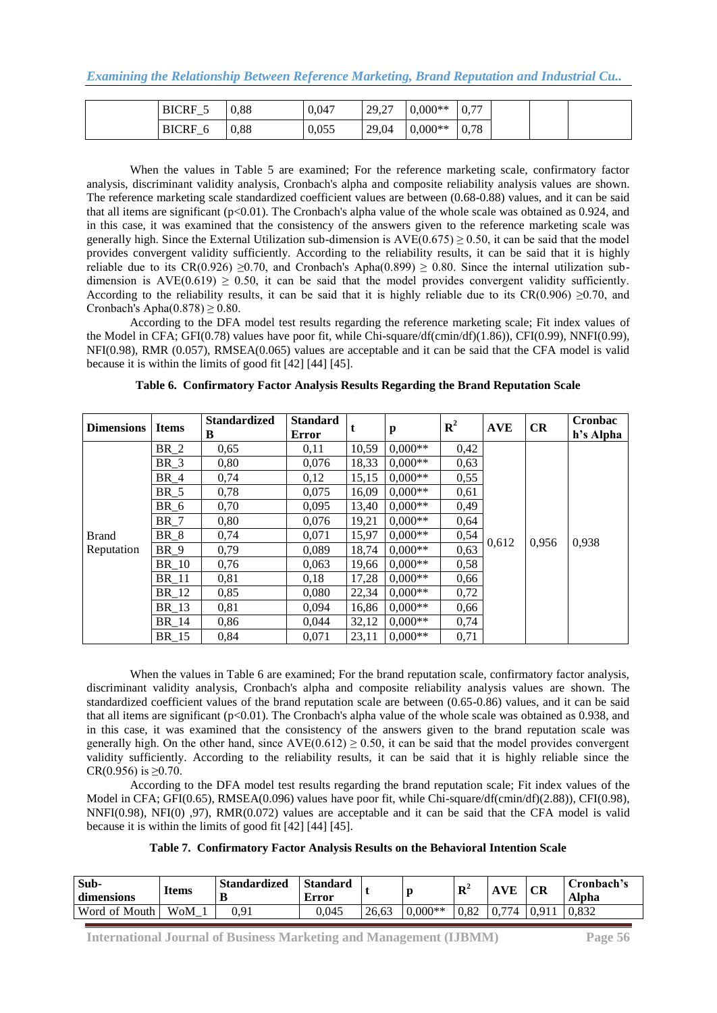| <b>BICRF</b><br>_                             | 0.88 | 0.047 | $\mathcal{L}$<br>29,27 | $0,000**$ | 0,77 |
|-----------------------------------------------|------|-------|------------------------|-----------|------|
| <b>BICRF</b><br>O<br>$\overline{\phantom{0}}$ | 0,88 | 0,055 | 29,04                  | $0,000**$ | 0,78 |

When the values in Table 5 are examined; For the reference marketing scale, confirmatory factor analysis, discriminant validity analysis, Cronbach's alpha and composite reliability analysis values are shown. The reference marketing scale standardized coefficient values are between (0.68-0.88) values, and it can be said that all items are significant (p<0.01). The Cronbach's alpha value of the whole scale was obtained as 0.924, and in this case, it was examined that the consistency of the answers given to the reference marketing scale was generally high. Since the External Utilization sub-dimension is  $AVE(0.675) \ge 0.50$ , it can be said that the model provides convergent validity sufficiently. According to the reliability results, it can be said that it is highly reliable due to its  $CR(0.926) \ge 0.70$ , and Cronbach's Apha $(0.899) \ge 0.80$ . Since the internal utilization subdimension is  $AVE(0.619) \ge 0.50$ , it can be said that the model provides convergent validity sufficiently. According to the reliability results, it can be said that it is highly reliable due to its CR(0.906)  $\geq$ 0.70, and Cronbach's Apha $(0.878) \ge 0.80$ .

According to the DFA model test results regarding the reference marketing scale; Fit index values of the Model in CFA; GFI(0.78) values have poor fit, while Chi-square/df(cmin/df)(1.86)), CFI(0.99), NNFI(0.99), NFI(0.98), RMR (0.057), RMSEA(0.065) values are acceptable and it can be said that the CFA model is valid because it is within the limits of good fit [42] [44] [45].

| <b>Dimensions</b> | <b>Items</b> | <b>Standardized</b><br>B | <b>Standard</b><br>Error | t     | p         | ${\bf R}^2$ | <b>AVE</b> | CR    | Cronbac<br>h's Alpha |
|-------------------|--------------|--------------------------|--------------------------|-------|-----------|-------------|------------|-------|----------------------|
|                   | BR 2         | 0,65                     | 0.11                     | 10,59 | $0.000**$ | 0,42        |            |       |                      |
|                   | BR 3         | 0,80                     | 0,076                    | 18,33 | $0.000**$ | 0,63        |            |       | 0,938                |
|                   | BR 4         | 0,74                     | 0,12                     | 15,15 | $0.000**$ | 0,55        |            | 0,956 |                      |
|                   | $BR_5$       | 0,78                     | 0.075                    | 16,09 | $0.000**$ | 0.61        |            |       |                      |
|                   | $BR_6$       | 0,70                     | 0,095                    | 13,40 | $0.000**$ | 0,49        |            |       |                      |
|                   | <b>BR</b> 7  | 0,80                     | 0,076                    | 19,21 | $0,000**$ | 0,64        |            |       |                      |
| <b>Brand</b>      | BR 8         | 0,74                     | 0,071                    | 15,97 | $0.000**$ | 0,54        | 0,612      |       |                      |
| Reputation        | BR 9         | 0.79                     | 0.089                    | 18,74 | $0.000**$ | 0,63        |            |       |                      |
|                   | BR 10        | 0,76                     | 0,063                    | 19,66 | $0.000**$ | 0,58        |            |       |                      |
|                   | BR 11        | 0,81                     | 0.18                     | 17,28 | $0.000**$ | 0,66        |            |       |                      |
|                   | BR 12        | 0,85                     | 0,080                    | 22,34 | $0.000**$ | 0,72        |            |       |                      |
|                   | BR 13        | 0,81                     | 0,094                    | 16,86 | $0.000**$ | 0,66        |            |       |                      |
|                   | BR 14        | 0,86                     | 0,044                    | 32,12 | $0.000**$ | 0,74        |            |       |                      |
|                   | BR 15        | 0,84                     | 0,071                    | 23,11 | $0.000**$ | 0,71        |            |       |                      |

When the values in Table 6 are examined; For the brand reputation scale, confirmatory factor analysis, discriminant validity analysis, Cronbach's alpha and composite reliability analysis values are shown. The standardized coefficient values of the brand reputation scale are between (0.65-0.86) values, and it can be said that all items are significant ( $p<0.01$ ). The Cronbach's alpha value of the whole scale was obtained as 0.938, and in this case, it was examined that the consistency of the answers given to the brand reputation scale was generally high. On the other hand, since  $AVE(0.612) \ge 0.50$ , it can be said that the model provides convergent validity sufficiently. According to the reliability results, it can be said that it is highly reliable since the CR(0.956) is ≥0.70.

According to the DFA model test results regarding the brand reputation scale; Fit index values of the Model in CFA; GFI(0.65), RMSEA(0.096) values have poor fit, while Chi-square/df(cmin/df)(2.88)), CFI(0.98), NNFI(0.98), NFI(0) ,97), RMR(0.072) values are acceptable and it can be said that the CFA model is valid because it is within the limits of good fit [42] [44] [45].

|  | Table 7. Confirmatory Factor Analysis Results on the Behavioral Intention Scale |  |  |  |  |  |  |  |
|--|---------------------------------------------------------------------------------|--|--|--|--|--|--|--|
|--|---------------------------------------------------------------------------------|--|--|--|--|--|--|--|

| Sub-<br>dimensions | <b>Items</b> | <b>Standardized</b><br>Đ | <b>Standard</b><br>Error |       |           | $\mathbf{D}^2$<br>л | VE                      | CR | Cronbach's<br>Alpha |
|--------------------|--------------|--------------------------|--------------------------|-------|-----------|---------------------|-------------------------|----|---------------------|
| Word of Mouth      | WoM          | 0.91                     | 0.045                    | 26.63 | $0.000**$ | 0.82                | 774<br>$\overline{0}$ . |    | 0.832               |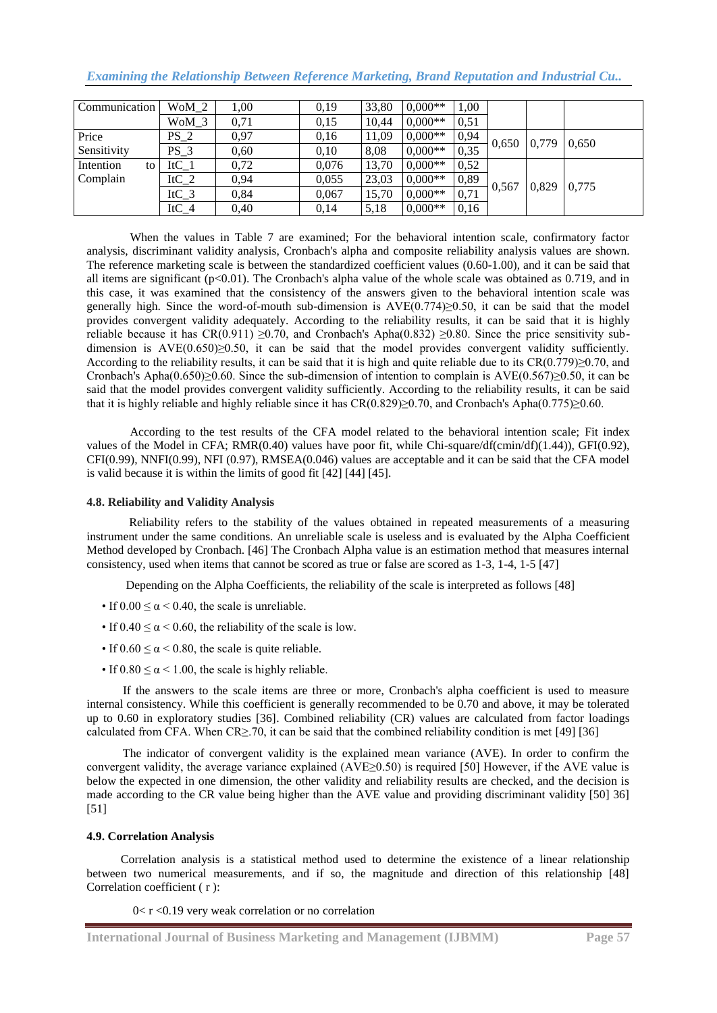|  |  |  |  | <b>Examining the Relationship Between Reference Marketing, Brand Reputation and Industrial Cu</b> |
|--|--|--|--|---------------------------------------------------------------------------------------------------|
|  |  |  |  |                                                                                                   |

| Communication   | WoM 2   | 1.00 | 0,19  | 33,80 | $0.000**$ | 1,00 |       |       |       |
|-----------------|---------|------|-------|-------|-----------|------|-------|-------|-------|
|                 | $WoM_3$ | 0,71 | 0,15  | 10.44 | $0.000**$ | 0,51 |       |       |       |
| Price           | $PS_2$  | 0.97 | 0.16  | 11,09 | $0,000**$ | 0.94 |       |       | 0.650 |
| Sensitivity     | $PS_3$  | 0.60 | 0,10  | 8,08  | $0.000**$ | 0,35 | 0,650 | 0,779 |       |
| Intention<br>to | $ItC_1$ | 0,72 | 0,076 | 13,70 | $0.000**$ | 0,52 |       |       |       |
| Complain        | ItC_2   | 0.94 | 0.055 | 23,03 | $0,000**$ | 0,89 |       | 0,829 |       |
|                 | ItC $3$ | 0.84 | 0,067 | 15,70 | $0.000**$ | 0,71 | 0,567 |       | 0,775 |
|                 | $ItC_4$ | 0.40 | 0,14  | 5,18  | $0.000**$ | 0.16 |       |       |       |

When the values in Table 7 are examined; For the behavioral intention scale, confirmatory factor analysis, discriminant validity analysis, Cronbach's alpha and composite reliability analysis values are shown. The reference marketing scale is between the standardized coefficient values (0.60-1.00), and it can be said that all items are significant (p<0.01). The Cronbach's alpha value of the whole scale was obtained as 0.719, and in this case, it was examined that the consistency of the answers given to the behavioral intention scale was generally high. Since the word-of-mouth sub-dimension is  $AVE(0.774) \ge 0.50$ , it can be said that the model provides convergent validity adequately. According to the reliability results, it can be said that it is highly reliable because it has  $CR(0.911) \ge 0.70$ , and Cronbach's Apha(0.832)  $\ge 0.80$ . Since the price sensitivity subdimension is  $AVE(0.650) \ge 0.50$ , it can be said that the model provides convergent validity sufficiently. According to the reliability results, it can be said that it is high and quite reliable due to its  $CR(0.779) \ge 0.70$ , and Cronbach's Apha $(0.650) \ge 0.60$ . Since the sub-dimension of intention to complain is AVE $(0.567) \ge 0.50$ , it can be said that the model provides convergent validity sufficiently. According to the reliability results, it can be said that it is highly reliable and highly reliable since it has CR(0.829)≥0.70, and Cronbach's Apha(0.775)≥0.60.

According to the test results of the CFA model related to the behavioral intention scale; Fit index values of the Model in CFA; RMR(0.40) values have poor fit, while Chi-square/df(cmin/df)(1.44)), GFI(0.92), CFI(0.99), NNFI(0.99), NFI (0.97), RMSEA(0.046) values are acceptable and it can be said that the CFA model is valid because it is within the limits of good fit [42] [44] [45].

# **4.8. Reliability and Validity Analysis**

Reliability refers to the stability of the values obtained in repeated measurements of a measuring instrument under the same conditions. An unreliable scale is useless and is evaluated by the Alpha Coefficient Method developed by Cronbach. [46] The Cronbach Alpha value is an estimation method that measures internal consistency, used when items that cannot be scored as true or false are scored as 1-3, 1-4, 1-5 [47]

Depending on the Alpha Coefficients, the reliability of the scale is interpreted as follows [48]

- If  $0.00 \le \alpha \le 0.40$ , the scale is unreliable.
- If  $0.40 \le \alpha \le 0.60$ , the reliability of the scale is low.
- If  $0.60 \le \alpha \le 0.80$ , the scale is quite reliable.
- If  $0.80 \le \alpha \le 1.00$ , the scale is highly reliable.

 If the answers to the scale items are three or more, Cronbach's alpha coefficient is used to measure internal consistency. While this coefficient is generally recommended to be 0.70 and above, it may be tolerated up to 0.60 in exploratory studies [36]. Combined reliability (CR) values are calculated from factor loadings calculated from CFA. When  $CR \ge 70$ , it can be said that the combined reliability condition is met [49] [36]

 The indicator of convergent validity is the explained mean variance (AVE). In order to confirm the convergent validity, the average variance explained (AVE≥0.50) is required [50] However, if the AVE value is below the expected in one dimension, the other validity and reliability results are checked, and the decision is made according to the CR value being higher than the AVE value and providing discriminant validity [50] 36] [51]

#### **4.9. Correlation Analysis**

Correlation analysis is a statistical method used to determine the existence of a linear relationship between two numerical measurements, and if so, the magnitude and direction of this relationship [48] Correlation coefficient ( r ):

 $0 < r < 0.19$  very weak correlation or no correlation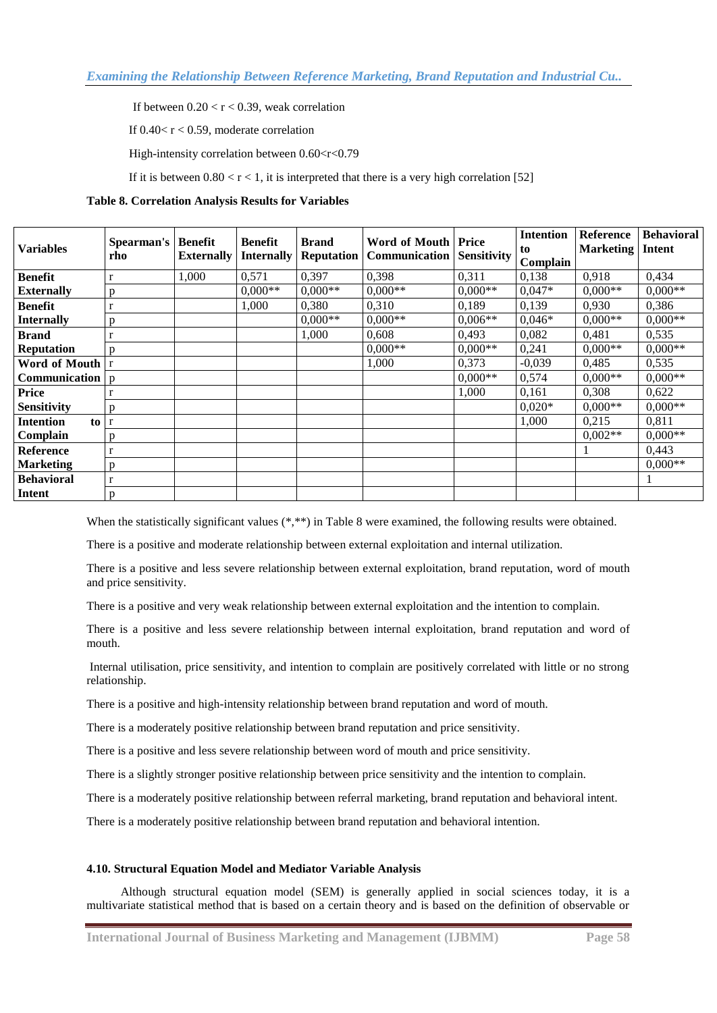If between  $0.20 < r < 0.39$ , weak correlation

If  $0.40 < r < 0.59$ , moderate correlation

High-intensity correlation between  $0.60 < r < 0.79$ 

If it is between  $0.80 < r < 1$ , it is interpreted that there is a very high correlation [52]

# **Table 8. Correlation Analysis Results for Variables**

| <b>Variables</b>                     | <b>Spearman's   Benefit</b><br>rho | <b>Externally</b> | <b>Benefit</b><br><b>Internally</b> | <b>Brand</b><br><b>Reputation</b> | <b>Word of Mouth Price</b><br><b>Communication</b> | <b>Sensitivity</b> | <b>Intention</b><br>to<br>Complain | Reference<br><b>Marketing</b> | <b>Behavioral</b><br>Intent |
|--------------------------------------|------------------------------------|-------------------|-------------------------------------|-----------------------------------|----------------------------------------------------|--------------------|------------------------------------|-------------------------------|-----------------------------|
| <b>Benefit</b>                       | $\mathbf r$                        | 1.000             | 0,571                               | 0,397                             | 0,398                                              | 0,311              | 0,138                              | 0,918                         | 0,434                       |
| <b>Externally</b>                    | p                                  |                   | $0.000**$                           | $0.000**$                         | $0,000**$                                          | $0,000**$          | $0,047*$                           | $0.000**$                     | $0,000**$                   |
| <b>Benefit</b>                       |                                    |                   | 1,000                               | 0,380                             | 0,310                                              | 0,189              | 0,139                              | 0.930                         | 0,386                       |
| <b>Internally</b>                    | p                                  |                   |                                     | $0.000**$                         | $0,000**$                                          | $0,006**$          | $0.046*$                           | $0.000**$                     | $0.000**$                   |
| <b>Brand</b>                         | r                                  |                   |                                     | 1,000                             | 0,608                                              | 0,493              | 0,082                              | 0.481                         | 0,535                       |
| <b>Reputation</b>                    | D                                  |                   |                                     |                                   | $0,000**$                                          | $0.000**$          | 0,241                              | $0,000**$                     | $0,000**$                   |
| Word of Mouth   r                    |                                    |                   |                                     |                                   | 1,000                                              | 0,373              | $-0,039$                           | 0,485                         | 0,535                       |
| <b>Communication</b> $\vert p \vert$ |                                    |                   |                                     |                                   |                                                    | $0.000**$          | 0,574                              | $0.000**$                     | $0,000**$                   |
| <b>Price</b>                         |                                    |                   |                                     |                                   |                                                    | 1,000              | 0,161                              | 0.308                         | 0,622                       |
| <b>Sensitivity</b>                   | n                                  |                   |                                     |                                   |                                                    |                    | $0.020*$                           | $0,000**$                     | $0,000**$                   |
| <b>Intention</b><br>to l             | $\mathbf{r}$                       |                   |                                     |                                   |                                                    |                    | 1,000                              | 0,215                         | 0.811                       |
| Complain                             | D                                  |                   |                                     |                                   |                                                    |                    |                                    | $0.002**$                     | $0.000**$                   |
| <b>Reference</b>                     | r                                  |                   |                                     |                                   |                                                    |                    |                                    |                               | 0.443                       |
| <b>Marketing</b>                     | p                                  |                   |                                     |                                   |                                                    |                    |                                    |                               | $0.000**$                   |
| <b>Behavioral</b>                    | r                                  |                   |                                     |                                   |                                                    |                    |                                    |                               |                             |
| <b>Intent</b>                        | p                                  |                   |                                     |                                   |                                                    |                    |                                    |                               |                             |

When the statistically significant values (\*,\*\*) in Table 8 were examined, the following results were obtained.

There is a positive and moderate relationship between external exploitation and internal utilization.

There is a positive and less severe relationship between external exploitation, brand reputation, word of mouth and price sensitivity.

There is a positive and very weak relationship between external exploitation and the intention to complain.

There is a positive and less severe relationship between internal exploitation, brand reputation and word of mouth.

Internal utilisation, price sensitivity, and intention to complain are positively correlated with little or no strong relationship.

There is a positive and high-intensity relationship between brand reputation and word of mouth.

There is a moderately positive relationship between brand reputation and price sensitivity.

There is a positive and less severe relationship between word of mouth and price sensitivity.

There is a slightly stronger positive relationship between price sensitivity and the intention to complain.

There is a moderately positive relationship between referral marketing, brand reputation and behavioral intent.

There is a moderately positive relationship between brand reputation and behavioral intention.

#### **4.10. Structural Equation Model and Mediator Variable Analysis**

Although structural equation model (SEM) is generally applied in social sciences today, it is a multivariate statistical method that is based on a certain theory and is based on the definition of observable or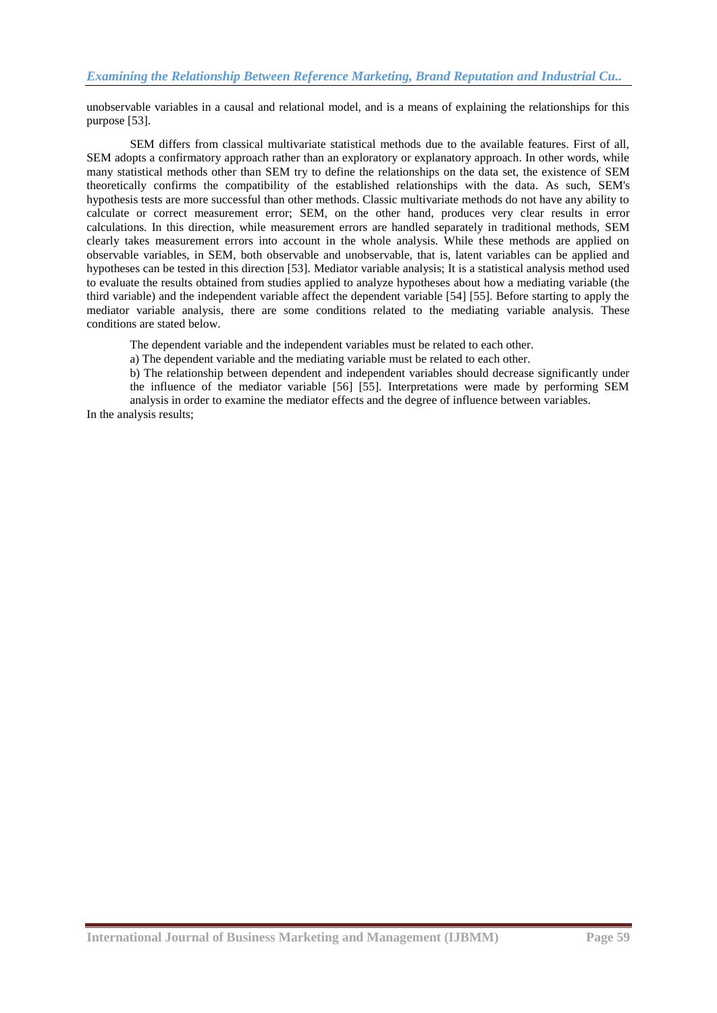unobservable variables in a causal and relational model, and is a means of explaining the relationships for this purpose [53].

 SEM differs from classical multivariate statistical methods due to the available features. First of all, SEM adopts a confirmatory approach rather than an exploratory or explanatory approach. In other words, while many statistical methods other than SEM try to define the relationships on the data set, the existence of SEM theoretically confirms the compatibility of the established relationships with the data. As such, SEM's hypothesis tests are more successful than other methods. Classic multivariate methods do not have any ability to calculate or correct measurement error; SEM, on the other hand, produces very clear results in error calculations. In this direction, while measurement errors are handled separately in traditional methods, SEM clearly takes measurement errors into account in the whole analysis. While these methods are applied on observable variables, in SEM, both observable and unobservable, that is, latent variables can be applied and hypotheses can be tested in this direction [53]. Mediator variable analysis; It is a statistical analysis method used to evaluate the results obtained from studies applied to analyze hypotheses about how a mediating variable (the third variable) and the independent variable affect the dependent variable [54] [55]. Before starting to apply the mediator variable analysis, there are some conditions related to the mediating variable analysis. These conditions are stated below.

The dependent variable and the independent variables must be related to each other.

a) The dependent variable and the mediating variable must be related to each other.

b) The relationship between dependent and independent variables should decrease significantly under the influence of the mediator variable [56] [55]. Interpretations were made by performing SEM analysis in order to examine the mediator effects and the degree of influence between variables.

In the analysis results;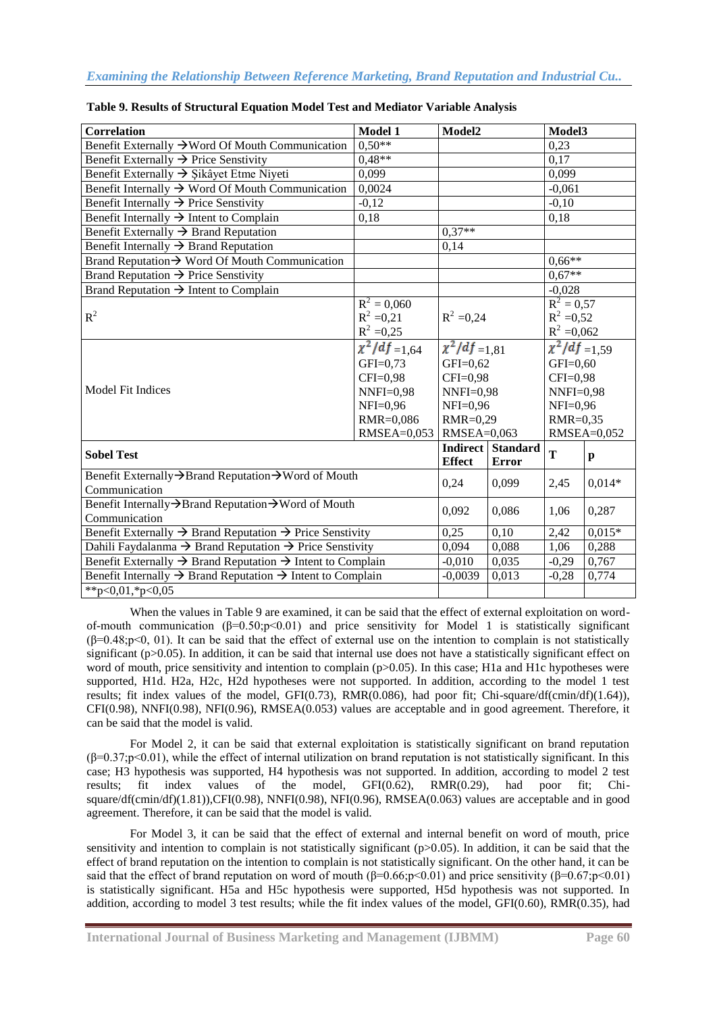| <b>Correlation</b>                                                                 | <b>Model 1</b>       | Model2                                  |                                          | Model3             |              |  |  |
|------------------------------------------------------------------------------------|----------------------|-----------------------------------------|------------------------------------------|--------------------|--------------|--|--|
| Benefit Externally → Word Of Mouth Communication                                   | $0.50**$             |                                         |                                          | 0.23               |              |  |  |
| Benefit Externally $\rightarrow$ Price Senstivity                                  | $0.48**$             |                                         |                                          | 0,17               |              |  |  |
| Benefit Externally $\rightarrow$ Şikâyet Etme Niyeti                               | 0,099                |                                         |                                          | 0.099              |              |  |  |
| Benefit Internally $\rightarrow$ Word Of Mouth Communication                       | 0,0024               |                                         |                                          | $-0,061$           |              |  |  |
| Benefit Internally $\rightarrow$ Price Senstivity                                  | $-0,12$              |                                         |                                          | $-0,10$            |              |  |  |
| Benefit Internally $\rightarrow$ Intent to Complain                                | 0,18                 |                                         |                                          | 0,18               |              |  |  |
| Benefit Externally $\rightarrow$ Brand Reputation                                  |                      | $0.37**$                                |                                          |                    |              |  |  |
| Benefit Internally $\rightarrow$ Brand Reputation                                  |                      | 0,14                                    |                                          |                    |              |  |  |
| Brand Reputation $\rightarrow$ Word Of Mouth Communication                         |                      |                                         |                                          | $0.66**$           |              |  |  |
| Brand Reputation $\rightarrow$ Price Senstivity                                    |                      |                                         |                                          | $0.67**$           |              |  |  |
| Brand Reputation $\rightarrow$ Intent to Complain                                  |                      |                                         |                                          |                    | $-0,028$     |  |  |
|                                                                                    | $R^2 = 0,060$        |                                         |                                          | $R^2 = 0.57$       |              |  |  |
| $R^2$                                                                              | $R^2 = 0,21$         | $R^2 = 0,24$                            |                                          | $R^2 = 0,52$       |              |  |  |
|                                                                                    | $R^2 = 0,25$         |                                         |                                          | $R^2 = 0,062$      |              |  |  |
|                                                                                    | $\chi^2/df = 1{,}64$ | $\chi^2/df = 1.81$                      |                                          | $\chi^2/df = 1,59$ |              |  |  |
|                                                                                    | $GFI=0,73$           | $GFI=0,62$                              |                                          | $GFI=0,60$         |              |  |  |
|                                                                                    | CFI=0,98             | CFI=0,98                                |                                          |                    | $CFI=0,98$   |  |  |
| Model Fit Indices                                                                  | $NNFI=0,98$          | $NNFI=0.98$<br>$NFI=0,96$<br>$RMR=0,29$ |                                          | $NNFI=0,98$        |              |  |  |
|                                                                                    | $NFI=0,96$           |                                         |                                          | $NFI=0,96$         |              |  |  |
|                                                                                    | RMR=0,086            |                                         |                                          | $RMR=0,35$         |              |  |  |
|                                                                                    | RMSEA=0,053          | RMSEA=0,063                             |                                          |                    | RMSEA=0,052  |  |  |
| <b>Sobel Test</b>                                                                  |                      | <b>Effect</b>                           | <b>Indirect Standard</b><br><b>Error</b> | T                  | $\mathbf{p}$ |  |  |
| Benefit Externally→Brand Reputation→Word of Mouth<br>Communication                 |                      | 0,24                                    | 0,099                                    | 2,45               | $0.014*$     |  |  |
| Benefit Internally→Brand Reputation→Word of Mouth                                  |                      |                                         |                                          |                    |              |  |  |
| Communication                                                                      | 0,092                | 0,086                                   | 1,06                                     | 0,287              |              |  |  |
| Benefit Externally $\rightarrow$ Brand Reputation $\rightarrow$ Price Senstivity   | 0,25                 | 0,10                                    | 2,42                                     | $0.015*$           |              |  |  |
| Dahili Faydalanma $\rightarrow$ Brand Reputation $\rightarrow$ Price Senstivity    | 0,094                | 0,088                                   | 1,06                                     | 0,288              |              |  |  |
| Benefit Externally $\rightarrow$ Brand Reputation $\rightarrow$ Intent to Complain | $-0,010$             | 0,035                                   | $-0,29$                                  | 0,767              |              |  |  |
| Benefit Internally $\rightarrow$ Brand Reputation $\rightarrow$ Intent to Complain | $-0,0039$            | 0,013                                   | $-0,28$                                  | 0,774              |              |  |  |
| **p<0,01,*p<0,05                                                                   |                      |                                         |                                          |                    |              |  |  |

# **Table 9. Results of Structural Equation Model Test and Mediator Variable Analysis**

When the values in Table 9 are examined, it can be said that the effect of external exploitation on wordof-mouth communication (β=0.50;p<0.01) and price sensitivity for Model 1 is statistically significant  $(\beta=0.48; p<0, 01)$ . It can be said that the effect of external use on the intention to complain is not statistically significant (p>0.05). In addition, it can be said that internal use does not have a statistically significant effect on word of mouth, price sensitivity and intention to complain (p>0.05). In this case; H1a and H1c hypotheses were supported, H1d. H2a, H2c, H2d hypotheses were not supported. In addition, according to the model 1 test results; fit index values of the model, GFI(0.73), RMR(0.086), had poor fit; Chi-square/df(cmin/df)(1.64)), CFI(0.98), NNFI(0.98), NFI(0.96), RMSEA(0.053) values are acceptable and in good agreement. Therefore, it can be said that the model is valid.

 For Model 2, it can be said that external exploitation is statistically significant on brand reputation  $(β=0.37; p<0.01)$ , while the effect of internal utilization on brand reputation is not statistically significant. In this case; H3 hypothesis was supported, H4 hypothesis was not supported. In addition, according to model 2 test results; fit index values of the model, GFI(0.62), RMR(0.29), had poor fit; Chiresults; fit index values of the model,  $GFI(0.62)$ ,  $RMR(0.29)$ , had poor fit; Chisquare/df(cmin/df)(1.81)),CFI(0.98), NNFI(0.98), NFI(0.96), RMSEA(0.063) values are acceptable and in good agreement. Therefore, it can be said that the model is valid.

 For Model 3, it can be said that the effect of external and internal benefit on word of mouth, price sensitivity and intention to complain is not statistically significant (p>0.05). In addition, it can be said that the effect of brand reputation on the intention to complain is not statistically significant. On the other hand, it can be said that the effect of brand reputation on word of mouth (β=0.66;p<0.01) and price sensitivity (β=0.67;p<0.01) is statistically significant. H5a and H5c hypothesis were supported, H5d hypothesis was not supported. In addition, according to model 3 test results; while the fit index values of the model, GFI(0.60), RMR(0.35), had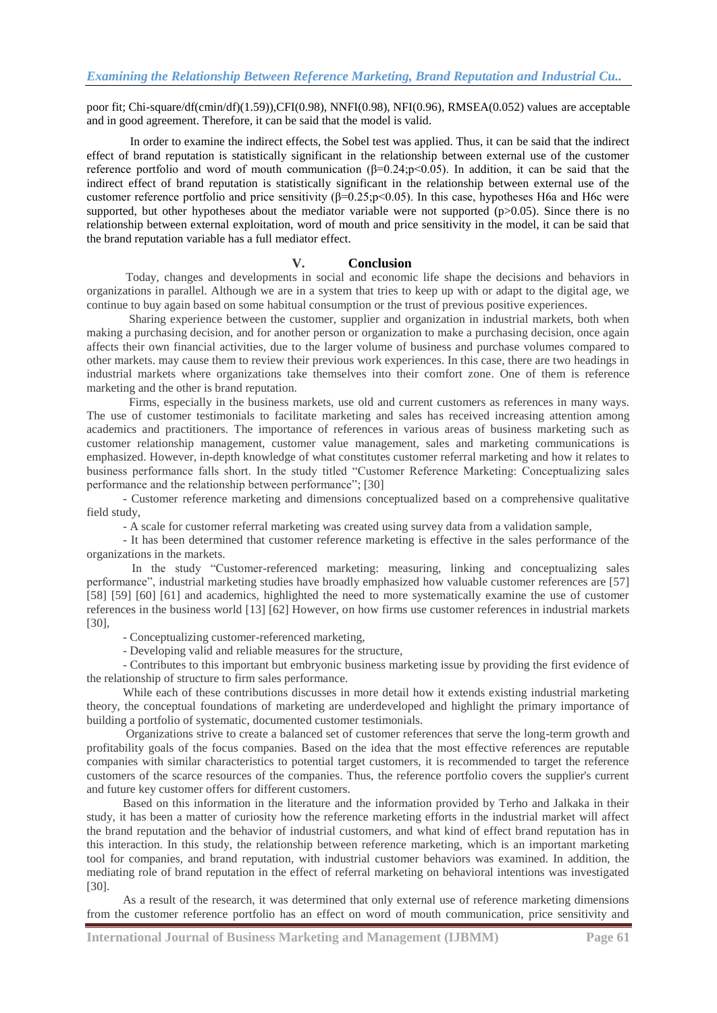poor fit; Chi-square/df(cmin/df)(1.59)),CFI(0.98), NNFI(0.98), NFI(0.96), RMSEA(0.052) values are acceptable and in good agreement. Therefore, it can be said that the model is valid.

 In order to examine the indirect effects, the Sobel test was applied. Thus, it can be said that the indirect effect of brand reputation is statistically significant in the relationship between external use of the customer reference portfolio and word of mouth communication (β=0.24;p<0.05). In addition, it can be said that the indirect effect of brand reputation is statistically significant in the relationship between external use of the customer reference portfolio and price sensitivity  $(\beta=0.25; p<0.05)$ . In this case, hypotheses H6a and H6c were supported, but other hypotheses about the mediator variable were not supported  $(p>0.05)$ . Since there is no relationship between external exploitation, word of mouth and price sensitivity in the model, it can be said that the brand reputation variable has a full mediator effect.

# **V. Conclusion**

 Today, changes and developments in social and economic life shape the decisions and behaviors in organizations in parallel. Although we are in a system that tries to keep up with or adapt to the digital age, we continue to buy again based on some habitual consumption or the trust of previous positive experiences.

 Sharing experience between the customer, supplier and organization in industrial markets, both when making a purchasing decision, and for another person or organization to make a purchasing decision, once again affects their own financial activities, due to the larger volume of business and purchase volumes compared to other markets. may cause them to review their previous work experiences. In this case, there are two headings in industrial markets where organizations take themselves into their comfort zone. One of them is reference marketing and the other is brand reputation.

 Firms, especially in the business markets, use old and current customers as references in many ways. The use of customer testimonials to facilitate marketing and sales has received increasing attention among academics and practitioners. The importance of references in various areas of business marketing such as customer relationship management, customer value management, sales and marketing communications is emphasized. However, in-depth knowledge of what constitutes customer referral marketing and how it relates to business performance falls short. In the study titled "Customer Reference Marketing: Conceptualizing sales performance and the relationship between performance"; [30]

 - Customer reference marketing and dimensions conceptualized based on a comprehensive qualitative field study,

- A scale for customer referral marketing was created using survey data from a validation sample,

 - It has been determined that customer reference marketing is effective in the sales performance of the organizations in the markets.

 In the study "Customer-referenced marketing: measuring, linking and conceptualizing sales performance", industrial marketing studies have broadly emphasized how valuable customer references are [57] [58] [59] [60] [61] and academics, highlighted the need to more systematically examine the use of customer references in the business world [13] [62] However, on how firms use customer references in industrial markets [30],

- Conceptualizing customer-referenced marketing,

- Developing valid and reliable measures for the structure,

 - Contributes to this important but embryonic business marketing issue by providing the first evidence of the relationship of structure to firm sales performance.

 While each of these contributions discusses in more detail how it extends existing industrial marketing theory, the conceptual foundations of marketing are underdeveloped and highlight the primary importance of building a portfolio of systematic, documented customer testimonials.

 Organizations strive to create a balanced set of customer references that serve the long-term growth and profitability goals of the focus companies. Based on the idea that the most effective references are reputable companies with similar characteristics to potential target customers, it is recommended to target the reference customers of the scarce resources of the companies. Thus, the reference portfolio covers the supplier's current and future key customer offers for different customers.

 Based on this information in the literature and the information provided by Terho and Jalkaka in their study, it has been a matter of curiosity how the reference marketing efforts in the industrial market will affect the brand reputation and the behavior of industrial customers, and what kind of effect brand reputation has in this interaction. In this study, the relationship between reference marketing, which is an important marketing tool for companies, and brand reputation, with industrial customer behaviors was examined. In addition, the mediating role of brand reputation in the effect of referral marketing on behavioral intentions was investigated [30].

 As a result of the research, it was determined that only external use of reference marketing dimensions from the customer reference portfolio has an effect on word of mouth communication, price sensitivity and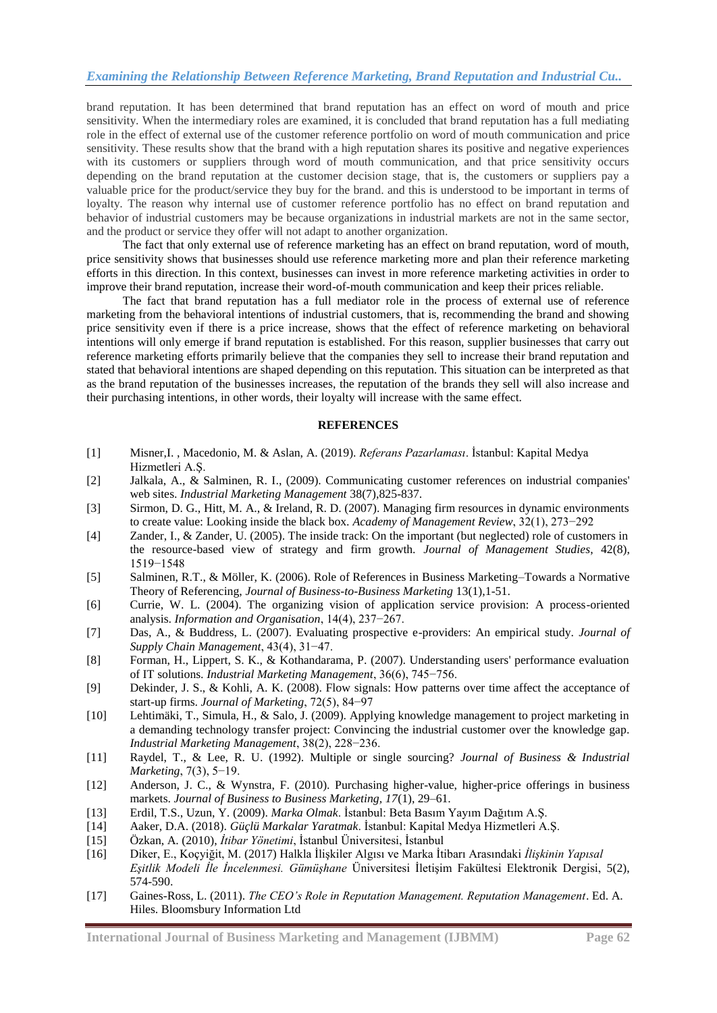brand reputation. It has been determined that brand reputation has an effect on word of mouth and price sensitivity. When the intermediary roles are examined, it is concluded that brand reputation has a full mediating role in the effect of external use of the customer reference portfolio on word of mouth communication and price sensitivity. These results show that the brand with a high reputation shares its positive and negative experiences with its customers or suppliers through word of mouth communication, and that price sensitivity occurs depending on the brand reputation at the customer decision stage, that is, the customers or suppliers pay a valuable price for the product/service they buy for the brand. and this is understood to be important in terms of loyalty. The reason why internal use of customer reference portfolio has no effect on brand reputation and behavior of industrial customers may be because organizations in industrial markets are not in the same sector, and the product or service they offer will not adapt to another organization.

 The fact that only external use of reference marketing has an effect on brand reputation, word of mouth, price sensitivity shows that businesses should use reference marketing more and plan their reference marketing efforts in this direction. In this context, businesses can invest in more reference marketing activities in order to improve their brand reputation, increase their word-of-mouth communication and keep their prices reliable.

 The fact that brand reputation has a full mediator role in the process of external use of reference marketing from the behavioral intentions of industrial customers, that is, recommending the brand and showing price sensitivity even if there is a price increase, shows that the effect of reference marketing on behavioral intentions will only emerge if brand reputation is established. For this reason, supplier businesses that carry out reference marketing efforts primarily believe that the companies they sell to increase their brand reputation and stated that behavioral intentions are shaped depending on this reputation. This situation can be interpreted as that as the brand reputation of the businesses increases, the reputation of the brands they sell will also increase and their purchasing intentions, in other words, their loyalty will increase with the same effect.

# **REFERENCES**

- [1] Misner,I. , Macedonio, M. & Aslan, A. (2019). *Referans Pazarlaması*. Ġstanbul: Kapital Medya Hizmetleri A.S.
- [2] Jalkala, A., & Salminen, R. I., (2009). Communicating customer references on industrial companies' web sites. *Industrial Marketing Management* 38(7),825-837.
- [3] Sirmon, D. G., Hitt, M. A., & Ireland, R. D. (2007). Managing firm resources in dynamic environments to create value: Looking inside the black box. *Academy of Management Review*, 32(1), 273−292
- [4] Zander, I., & Zander, U. (2005). The inside track: On the important (but neglected) role of customers in the resource-based view of strategy and firm growth. *Journal of Management Studies*, 42(8), 1519−1548
- [5] Salminen, R.T., & Möller, K. (2006). Role of References in Business Marketing–Towards a Normative Theory of Referencing, *Journal of Business-to-Business Marketing* 13(1),1-51.
- [6] Currie, W. L. (2004). The organizing vision of application service provision: A process-oriented analysis. *Information and Organisation*, 14(4), 237−267.
- [7] Das, A., & Buddress, L. (2007). Evaluating prospective e-providers: An empirical study. *Journal of Supply Chain Management*, 43(4), 31−47.
- [8] Forman, H., Lippert, S. K., & Kothandarama, P. (2007). Understanding users' performance evaluation of IT solutions. *Industrial Marketing Management*, 36(6), 745−756.
- [9] Dekinder, J. S., & Kohli, A. K. (2008). Flow signals: How patterns over time affect the acceptance of start-up firms. *Journal of Marketing*, 72(5), 84−97
- [10] Lehtimäki, T., Simula, H., & Salo, J. (2009). Applying knowledge management to project marketing in a demanding technology transfer project: Convincing the industrial customer over the knowledge gap. *Industrial Marketing Management*, 38(2), 228−236.
- [11] Raydel, T., & Lee, R. U. (1992). Multiple or single sourcing? *Journal of Business & Industrial Marketing*, 7(3), 5−19.
- [12] Anderson, J. C., & Wynstra, F. (2010). Purchasing higher-value, higher-price offerings in business markets. *Journal of Business to Business Marketing, 17*(1), 29–61.
- [13] Erdil, T.S., Uzun, Y. (2009). *Marka Olmak*. Ġstanbul: Beta Basım Yayım Dağıtım A.ġ.
- [14] Aaker, D.A. (2018). *Güçlü Markalar Yaratmak*. Ġstanbul: Kapital Medya Hizmetleri A.ġ.
- [15] Özkan, A. (2010), *İtibar Yönetimi*, İstanbul Üniversitesi, İstanbul
- [16] Diker, E., Koçyiğit, M. (2017) Halkla ĠliĢkiler Algısı ve Marka Ġtibarı Arasındaki *İlişkinin Yapısal Eşitlik Modeli İle İncelenmesi. Gümüşhane* Üniversitesi ĠletiĢim Fakültesi Elektronik Dergisi, 5(2), 574-590.
- [17] Gaines-Ross, L. (2011). *The CEO's Role in Reputation Management. Reputation Management*. Ed. A. Hiles. Bloomsbury Information Ltd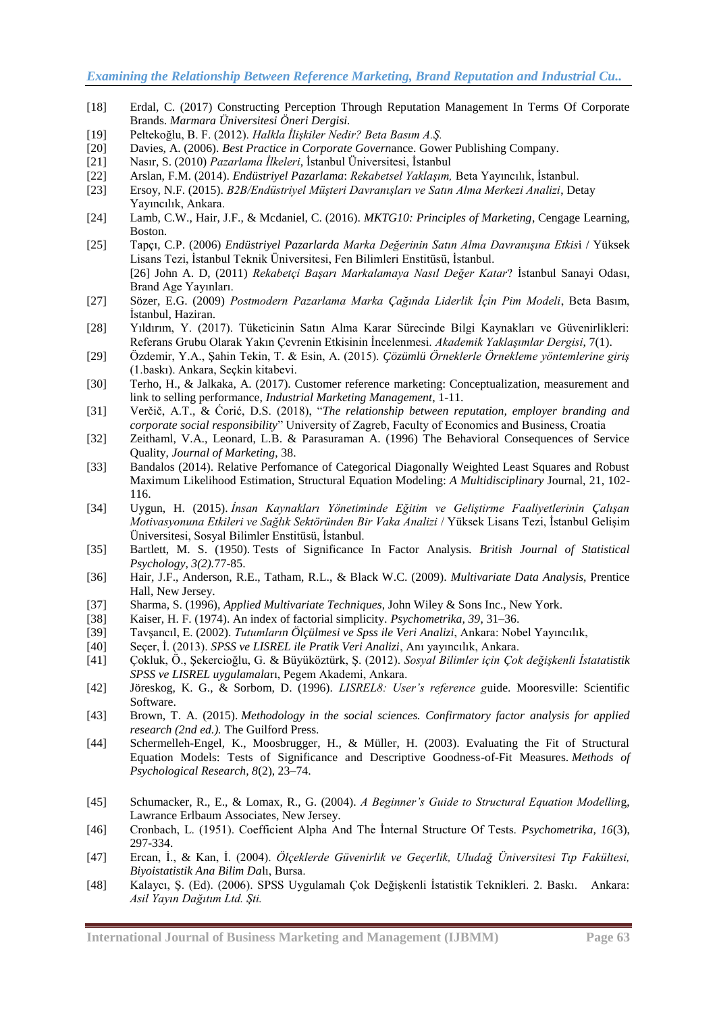- [18] Erdal, C. (2017) Constructing Perception Through Reputation Management In Terms Of Corporate Brands. *Marmara Üniversitesi Öneri Dergisi.*
- [19] Peltekoğlu, B. F. (2012). *Halkla İlişkiler Nedir? Beta Basım A.Ş.*
- [20] Davies, A. (2006). *Best Practice in Corporate Govern*ance. Gower Publishing Company.
- [21] Nasır, S. (2010) *Pazarlama İlkeleri*, İstanbul Üniversitesi, İstanbul
- [22] Arslan, F.M. (2014). *Endüstriyel Pazarlama*: *Rekabetsel Yaklaşım,* Beta Yayıncılık, Ġstanbul.
- [23] Ersoy, N.F. (2015). *B2B/Endüstriyel Müşteri Davranışları ve Satın Alma Merkezi Analizi*, Detay Yayıncılık, Ankara.
- [24] Lamb, C.W., Hair, J.F., & Mcdaniel, C. (2016). *MKTG10: Principles of Marketing*, Cengage Learning, Boston.
- [25] Tapçı, C.P. (2006) *Endüstriyel Pazarlarda Marka Değerinin Satın Alma Davranışına Etkis*i / Yüksek Lisans Tezi, İstanbul Teknik Üniversitesi, Fen Bilimleri Enstitüsü, İstanbul. [26] John A. D, (2011) *Rekabetçi Başarı Markalamaya Nasıl Değer Katar*? Ġstanbul Sanayi Odası, Brand Age Yayınları.
- [27] Sözer, E.G. (2009) *Postmodern Pazarlama Marka Çağında Liderlik İçin Pim Modeli*, Beta Basım, İstanbul, Haziran.
- [28] Yıldırım, Y. (2017). Tüketicinin Satın Alma Karar Sürecinde Bilgi Kaynakları ve Güvenirlikleri: Referans Grubu Olarak Yakın Çevrenin Etkisinin İncelenmesi. Akademik Yaklaşımlar Dergisi, 7(1).
- [29] Özdemir, Y.A., ġahin Tekin, T. & Esin, A. (2015). *Çözümlü Örneklerle Örnekleme yöntemlerine giriş* (1.baskı). Ankara, Seçkin kitabevi.
- [30] Terho, H., & Jalkaka, A. (2017). Customer reference marketing: Conceptualization, measurement and link to selling performance, *Industrial Marketing Management*, 1-11.
- [31] Verčič, A.T., & Ćorić, D.S. (2018), "The relationship between reputation, employer branding and *corporate social responsibility*" University of Zagreb, Faculty of Economics and Business, Croatia
- [32] Zeithaml, V.A., Leonard, L.B. & Parasuraman A. (1996) The Behavioral Consequences of Service Quality, *Journal of Marketing*, 38.
- [33] Bandalos (2014). Relative Perfomance of Categorical Diagonally Weighted Least Squares and Robust Maximum Likelihood Estimation, Structural Equation Modeling: *A Multidisciplinary* Journal, 21, 102- 116.
- [34] Uygun, H. (2015). *İnsan Kaynakları Yönetiminde Eğitim ve Geliştirme Faaliyetlerinin Çalışan Motivasyonuna Etkileri ve Sağlık Sektöründen Bir Vaka Analizi* / Yüksek Lisans Tezi, İstanbul Gelisim Üniversitesi, Sosyal Bilimler Enstitüsü, İstanbul.
- [35] Bartlett, M. S. (1950). Tests of Significance In Factor Analysis*. British Journal of Statistical Psychology, 3(2).*77-85.
- [36] Hair, J.F., Anderson, R.E., Tatham, R.L., & Black W.C. (2009). *Multivariate Data Analysis*, Prentice Hall, New Jersey.
- [37] Sharma, S. (1996), *Applied Multivariate Techniques*, John Wiley & Sons Inc., New York.
- [38] Kaiser, H. F. (1974). An index of factorial simplicity*. Psychometrika, 39*, 31–36.
- [39] TavĢancıl, E. (2002). *Tutumların Ölçülmesi ve Spss ile Veri Analizi*, Ankara: Nobel Yayıncılık,
- [40] Seçer, İ. (2013). *SPSS ve LISREL ile Pratik Veri Analizi*, Anı yayıncılık, Ankara.
- [41] Çokluk, Ö., ġekercioğlu, G. & Büyüköztürk, ġ. (2012). *Sosyal Bilimler için Çok değişkenli İstatatistik SPSS ve LISREL uygulamala*rı, Pegem Akademi, Ankara.
- [42] Jöreskog, K. G., & Sorbom, D. (1996). *LISREL8: User's reference g*uide. Mooresville: Scientific Software.
- [43] Brown, T. A. (2015). *Methodology in the social sciences. Confirmatory factor analysis for applied research (2nd ed.).* The Guilford Press.
- [44] Schermelleh-Engel, K., Moosbrugger, H., & Müller, H. (2003). Evaluating the Fit of Structural Equation Models: Tests of Significance and Descriptive Goodness-of-Fit Measures. *Methods of Psychological Research, 8*(2), 23–74.
- [45] Schumacker, R., E., & Lomax, R., G. (2004). *A Beginner's Guide to Structural Equation Modellin*g, Lawrance Erlbaum Associates, New Jersey.
- [46] Cronbach, L. (1951). Coefficient Alpha And The Ġnternal Structure Of Tests. *Psychometrika, 16*(3), 297-334.
- [47] Ercan, Ġ., & Kan, Ġ. (2004). *Ölçeklerde Güvenirlik ve Geçerlik, Uludağ Üniversitesi Tıp Fakültesi, Biyoistatistik Ana Bilim Da*lı, Bursa.
- [48] Kalaycı, ġ. (Ed). (2006). SPSS Uygulamalı Çok DeğiĢkenli Ġstatistik Teknikleri. 2. Baskı. Ankara: *Asil Yayın Dağıtım Ltd. Şti.*